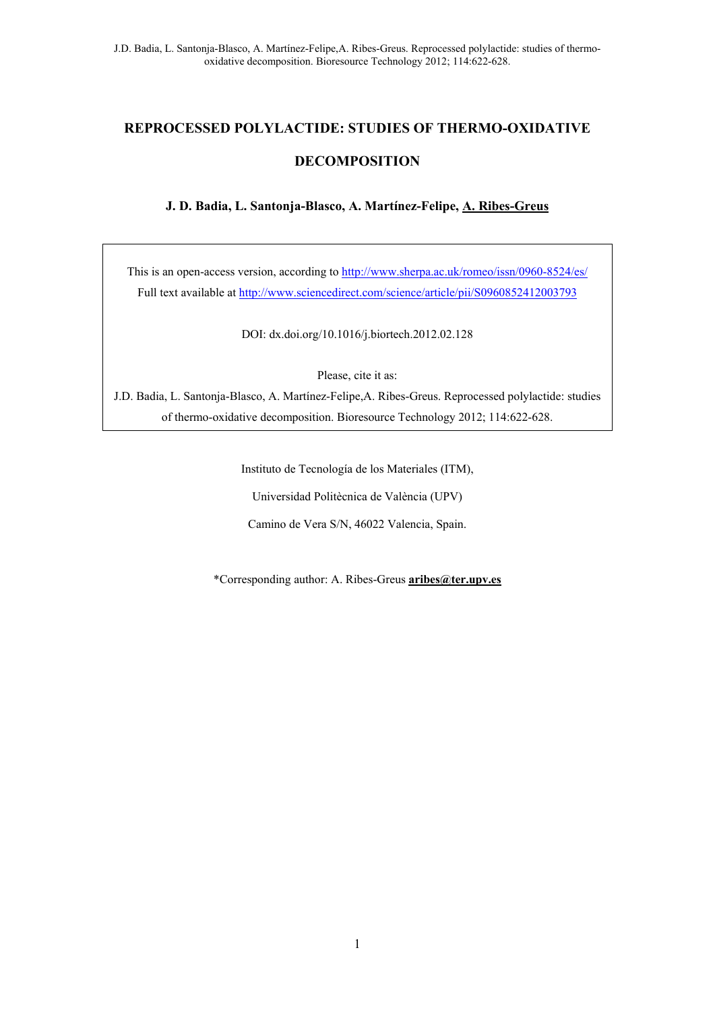# **REPROCESSED POLYLACTIDE: STUDIES OF THERMO-OXIDATIVE DECOMPOSITION**

**J. D. Badia, L. Santonja-Blasco, A. Martínez-Felipe, A. Ribes-Greus** 

This is an open-access version, according to http://www.sherpa.ac.uk/romeo/issn/0960-8524/es/ Full text available at http://www.sciencedirect.com/science/article/pii/S0960852412003793

DOI: dx.doi.org/10.1016/j.biortech.2012.02.128

Please, cite it as:

J.D. Badia, L. Santonja-Blasco, A. Martínez-Felipe,A. Ribes-Greus. Reprocessed polylactide: studies of thermo-oxidative decomposition. Bioresource Technology 2012; 114:622-628.

> Instituto de Tecnología de los Materiales (ITM), Universidad Politècnica de València (UPV) Camino de Vera S/N, 46022 Valencia, Spain.

\*Corresponding author: A. Ribes-Greus **aribes@ter.upv.es**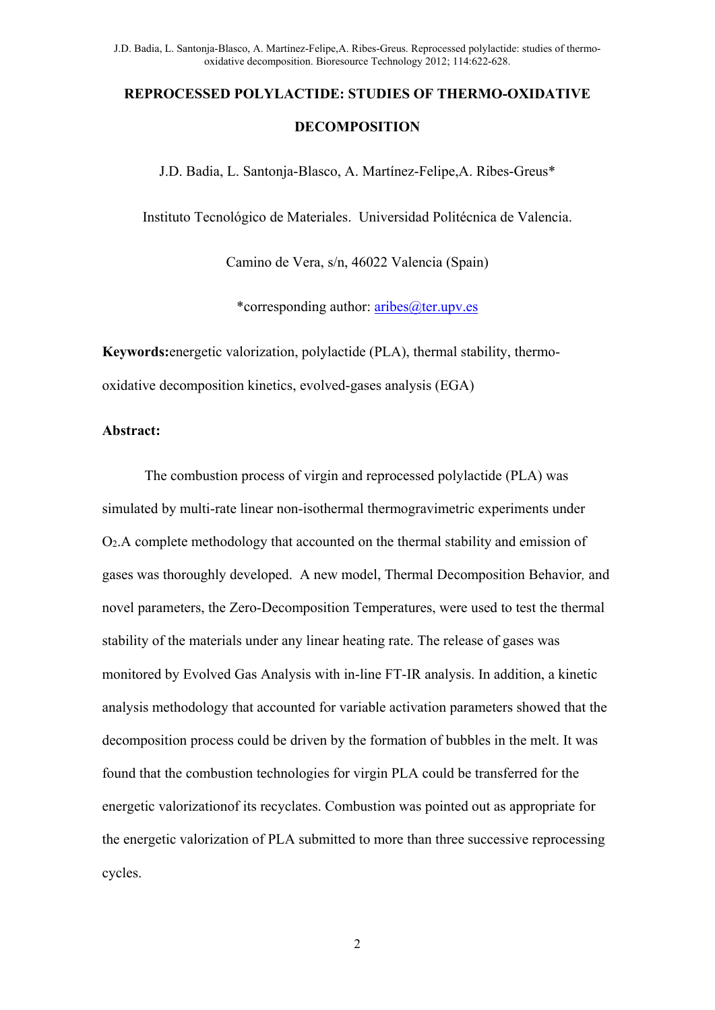# **REPROCESSED POLYLACTIDE: STUDIES OF THERMO-OXIDATIVE DECOMPOSITION**

J.D. Badia, L. Santonja-Blasco, A. Martínez-Felipe,A. Ribes-Greus\*

Instituto Tecnológico de Materiales. Universidad Politécnica de Valencia.

Camino de Vera, s/n, 46022 Valencia (Spain)

\*corresponding author:  $\frac{\text{aribes}(a)\text{ter.upv.es}}{\text{ter.upv.es}}$ 

**Keywords:**energetic valorization, polylactide (PLA), thermal stability, thermooxidative decomposition kinetics, evolved-gases analysis (EGA)

#### **Abstract:**

The combustion process of virgin and reprocessed polylactide (PLA) was simulated by multi-rate linear non-isothermal thermogravimetric experiments under O2.A complete methodology that accounted on the thermal stability and emission of gases was thoroughly developed. A new model, Thermal Decomposition Behavior*,* and novel parameters, the Zero-Decomposition Temperatures, were used to test the thermal stability of the materials under any linear heating rate. The release of gases was monitored by Evolved Gas Analysis with in-line FT-IR analysis. In addition, a kinetic analysis methodology that accounted for variable activation parameters showed that the decomposition process could be driven by the formation of bubbles in the melt. It was found that the combustion technologies for virgin PLA could be transferred for the energetic valorizationof its recyclates. Combustion was pointed out as appropriate for the energetic valorization of PLA submitted to more than three successive reprocessing cycles.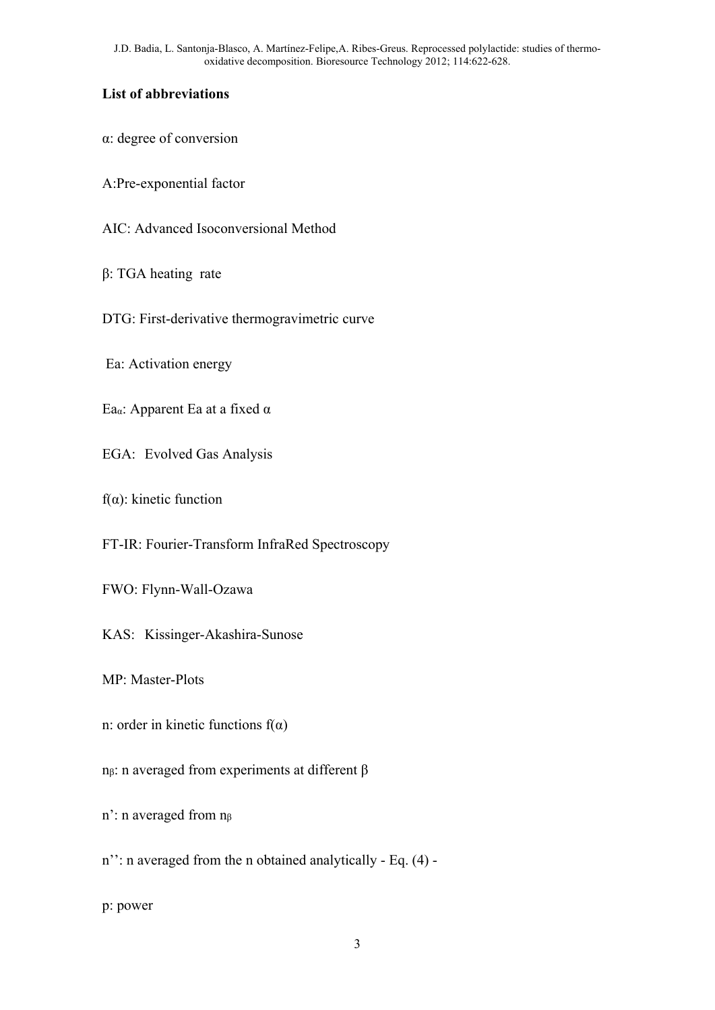# **List of abbreviations**

α: degree of conversion

A:Pre-exponential factor

AIC: Advanced Isoconversional Method

β: TGA heating rate

DTG: First-derivative thermogravimetric curve

Ea: Activation energy

Eaα: Apparent Ea at a fixed α

EGA: Evolved Gas Analysis

f(α): kinetic function

FT-IR: Fourier-Transform InfraRed Spectroscopy

FWO: Flynn-Wall-Ozawa

KAS: Kissinger-Akashira-Sunose

MP: Master-Plots

n: order in kinetic functions  $f(\alpha)$ 

nβ: n averaged from experiments at different β

n': n averaged from nβ

n'': n averaged from the n obtained analytically - Eq. (4) -

p: power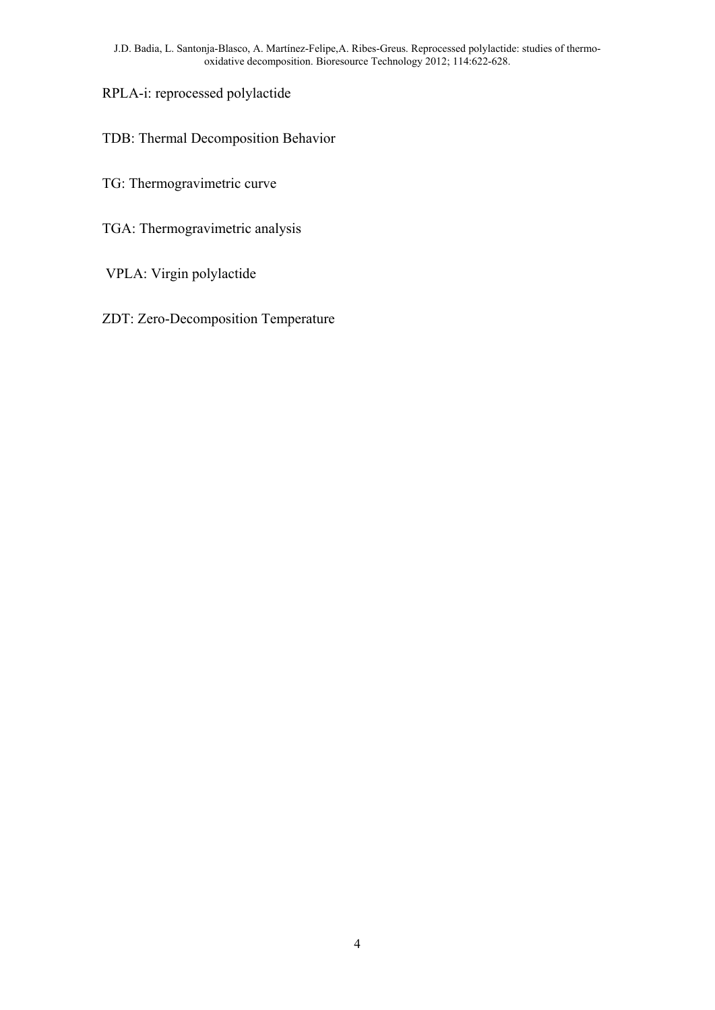RPLA-i: reprocessed polylactide

TDB: Thermal Decomposition Behavior

- TG: Thermogravimetric curve
- TGA: Thermogravimetric analysis
- VPLA: Virgin polylactide
- ZDT: Zero-Decomposition Temperature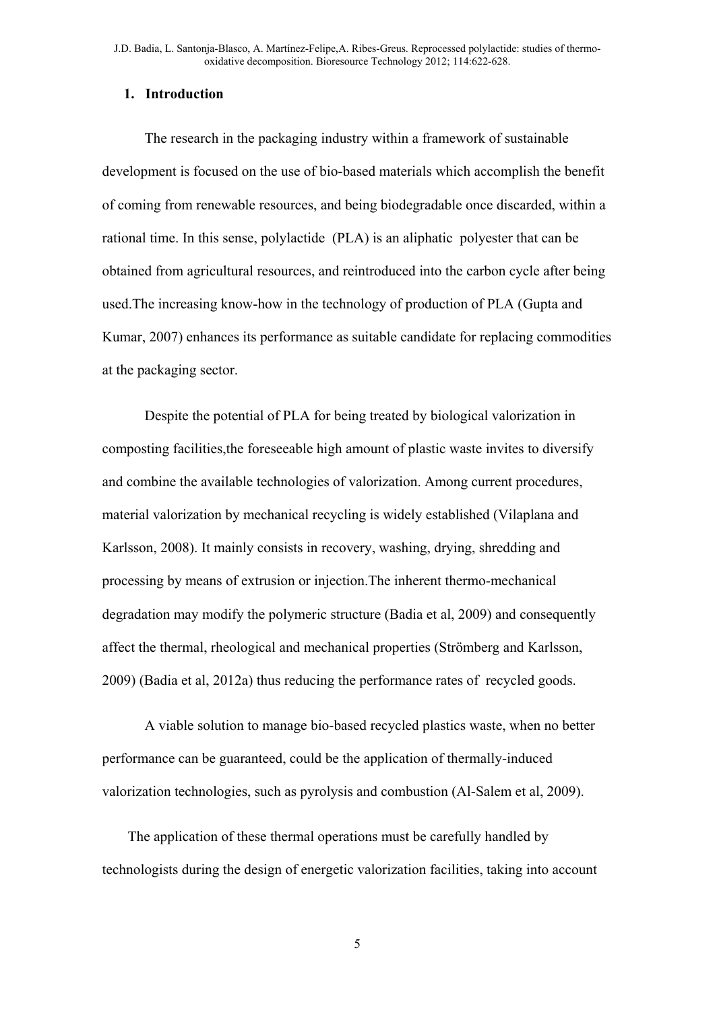#### **1. Introduction**

The research in the packaging industry within a framework of sustainable development is focused on the use of bio-based materials which accomplish the benefit of coming from renewable resources, and being biodegradable once discarded, within a rational time. In this sense, polylactide (PLA) is an aliphatic polyester that can be obtained from agricultural resources, and reintroduced into the carbon cycle after being used.The increasing know-how in the technology of production of PLA (Gupta and Kumar, 2007) enhances its performance as suitable candidate for replacing commodities at the packaging sector.

Despite the potential of PLA for being treated by biological valorization in composting facilities,the foreseeable high amount of plastic waste invites to diversify and combine the available technologies of valorization. Among current procedures, material valorization by mechanical recycling is widely established (Vilaplana and Karlsson, 2008). It mainly consists in recovery, washing, drying, shredding and processing by means of extrusion or injection.The inherent thermo-mechanical degradation may modify the polymeric structure (Badia et al, 2009) and consequently affect the thermal, rheological and mechanical properties (Strömberg and Karlsson, 2009) (Badia et al, 2012a) thus reducing the performance rates of recycled goods.

A viable solution to manage bio-based recycled plastics waste, when no better performance can be guaranteed, could be the application of thermally-induced valorization technologies, such as pyrolysis and combustion (Al-Salem et al, 2009).

The application of these thermal operations must be carefully handled by technologists during the design of energetic valorization facilities, taking into account

5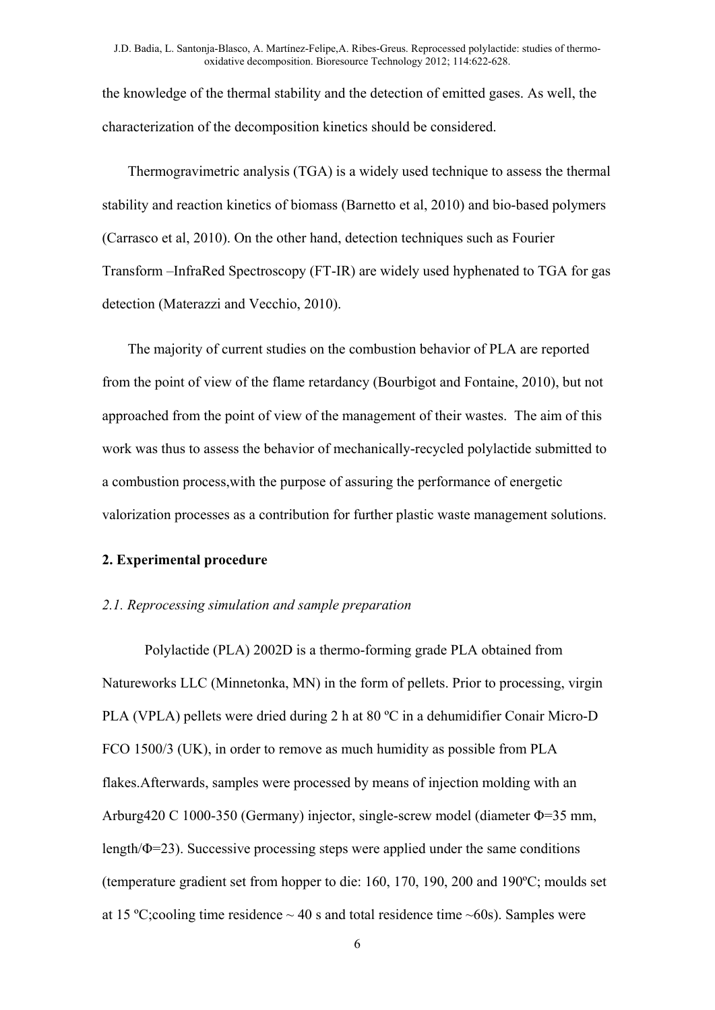the knowledge of the thermal stability and the detection of emitted gases. As well, the characterization of the decomposition kinetics should be considered.

Thermogravimetric analysis (TGA) is a widely used technique to assess the thermal stability and reaction kinetics of biomass (Barnetto et al, 2010) and bio-based polymers (Carrasco et al, 2010). On the other hand, detection techniques such as Fourier Transform –InfraRed Spectroscopy (FT-IR) are widely used hyphenated to TGA for gas detection (Materazzi and Vecchio, 2010).

The majority of current studies on the combustion behavior of PLA are reported from the point of view of the flame retardancy (Bourbigot and Fontaine, 2010), but not approached from the point of view of the management of their wastes. The aim of this work was thus to assess the behavior of mechanically-recycled polylactide submitted to a combustion process,with the purpose of assuring the performance of energetic valorization processes as a contribution for further plastic waste management solutions.

# **2. Experimental procedure**

#### *2.1. Reprocessing simulation and sample preparation*

Polylactide (PLA) 2002D is a thermo-forming grade PLA obtained from Natureworks LLC (Minnetonka, MN) in the form of pellets. Prior to processing, virgin PLA (VPLA) pellets were dried during 2 h at 80 ºC in a dehumidifier Conair Micro-D FCO 1500/3 (UK), in order to remove as much humidity as possible from PLA flakes.Afterwards, samples were processed by means of injection molding with an Arburg420 C 1000-350 (Germany) injector, single-screw model (diameter Φ=35 mm, length/ $\Phi$ =23). Successive processing steps were applied under the same conditions (temperature gradient set from hopper to die: 160, 170, 190, 200 and 190ºC; moulds set at 15 °C; cooling time residence  $\sim$  40 s and total residence time  $\sim$  60s). Samples were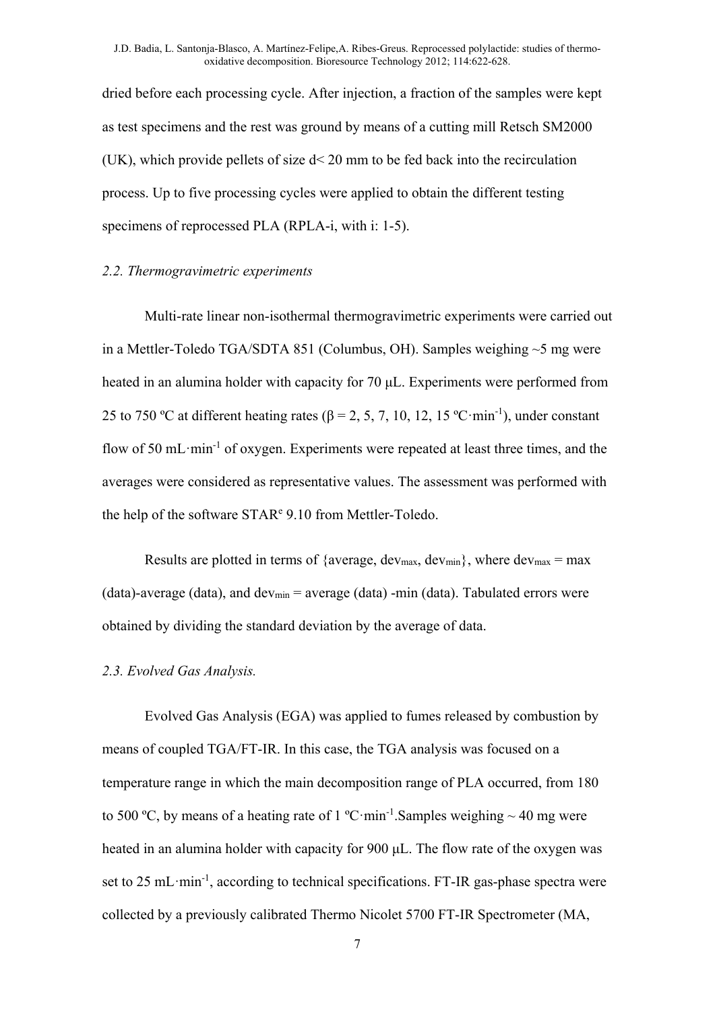dried before each processing cycle. After injection, a fraction of the samples were kept as test specimens and the rest was ground by means of a cutting mill Retsch SM2000 (UK), which provide pellets of size d< 20 mm to be fed back into the recirculation process. Up to five processing cycles were applied to obtain the different testing specimens of reprocessed PLA (RPLA-i, with i: 1-5).

#### *2.2. Thermogravimetric experiments*

Multi-rate linear non-isothermal thermogravimetric experiments were carried out in a Mettler-Toledo TGA/SDTA 851 (Columbus, OH). Samples weighing ~5 mg were heated in an alumina holder with capacity for 70 μL. Experiments were performed from 25 to 750 °C at different heating rates ( $\beta$  = 2, 5, 7, 10, 12, 15 °C·min<sup>-1</sup>), under constant flow of 50 mL $\cdot$ min<sup>-1</sup> of oxygen. Experiments were repeated at least three times, and the averages were considered as representative values. The assessment was performed with the help of the software STAR<sup>e</sup> 9.10 from Mettler-Toledo.

Results are plotted in terms of {average,  $dev_{max}$ ,  $dev_{min}$ }, where  $dev_{max} = max$ (data)-average (data), and dev<sub>min</sub> = average (data) -min (data). Tabulated errors were obtained by dividing the standard deviation by the average of data.

#### *2.3. Evolved Gas Analysis.*

Evolved Gas Analysis (EGA) was applied to fumes released by combustion by means of coupled TGA/FT-IR. In this case, the TGA analysis was focused on a temperature range in which the main decomposition range of PLA occurred, from 180 to 500 °C, by means of a heating rate of 1 °C·min<sup>-1</sup>. Samples weighing  $\sim$  40 mg were heated in an alumina holder with capacity for 900 μL. The flow rate of the oxygen was set to 25 mL $\cdot$ min<sup>-1</sup>, according to technical specifications. FT-IR gas-phase spectra were collected by a previously calibrated Thermo Nicolet 5700 FT-IR Spectrometer (MA,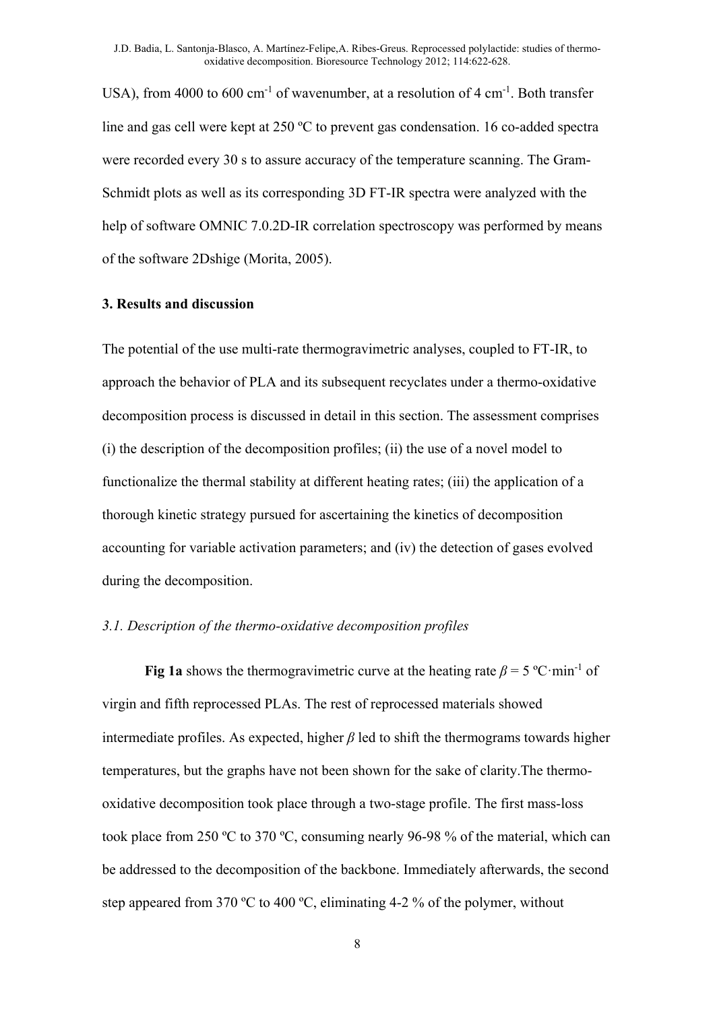USA), from 4000 to 600 cm<sup>-1</sup> of wavenumber, at a resolution of 4 cm<sup>-1</sup>. Both transfer line and gas cell were kept at 250 ºC to prevent gas condensation. 16 co-added spectra were recorded every 30 s to assure accuracy of the temperature scanning. The Gram-Schmidt plots as well as its corresponding 3D FT-IR spectra were analyzed with the help of software OMNIC 7.0.2D-IR correlation spectroscopy was performed by means of the software 2Dshige (Morita, 2005).

#### **3. Results and discussion**

The potential of the use multi-rate thermogravimetric analyses, coupled to FT-IR, to approach the behavior of PLA and its subsequent recyclates under a thermo-oxidative decomposition process is discussed in detail in this section. The assessment comprises (i) the description of the decomposition profiles; (ii) the use of a novel model to functionalize the thermal stability at different heating rates; (iii) the application of a thorough kinetic strategy pursued for ascertaining the kinetics of decomposition accounting for variable activation parameters; and (iv) the detection of gases evolved during the decomposition.

## *3.1. Description of the thermo-oxidative decomposition profiles*

**Fig 1a** shows the thermogravimetric curve at the heating rate  $\beta = 5$  °C·min<sup>-1</sup> of virgin and fifth reprocessed PLAs. The rest of reprocessed materials showed intermediate profiles. As expected, higher  $\beta$  led to shift the thermograms towards higher temperatures, but the graphs have not been shown for the sake of clarity.The thermooxidative decomposition took place through a two-stage profile. The first mass-loss took place from 250 ºC to 370 ºC, consuming nearly 96-98 % of the material, which can be addressed to the decomposition of the backbone. Immediately afterwards, the second step appeared from 370 ºC to 400 ºC, eliminating 4-2 % of the polymer, without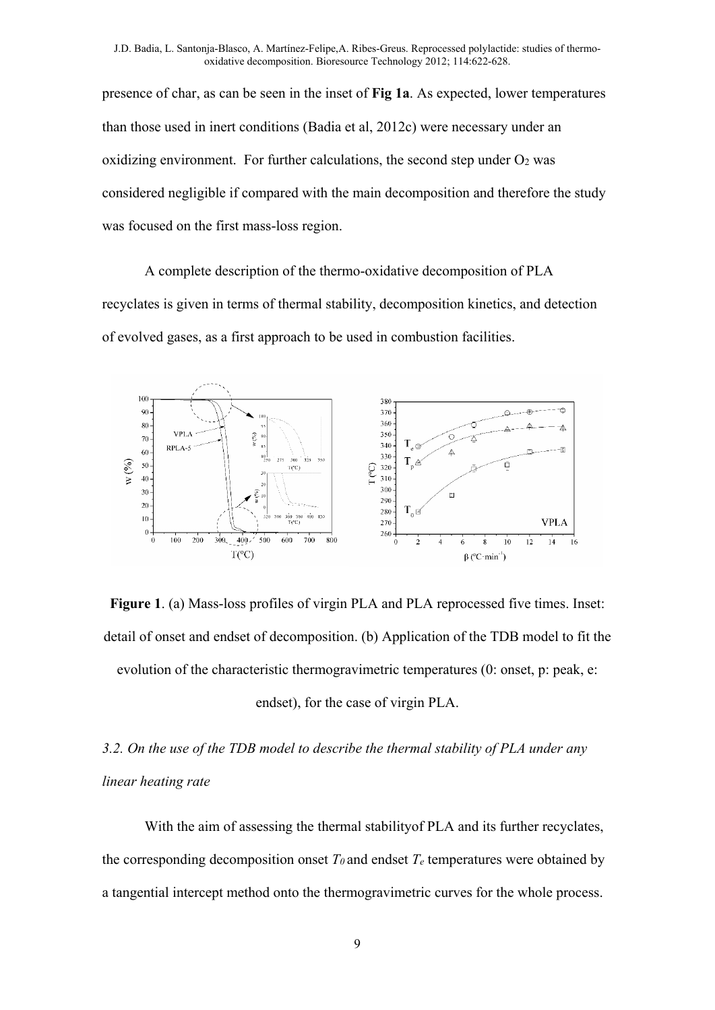presence of char, as can be seen in the inset of **Fig 1a**. As expected, lower temperatures than those used in inert conditions (Badia et al, 2012c) were necessary under an oxidizing environment. For further calculations, the second step under  $O<sub>2</sub>$  was considered negligible if compared with the main decomposition and therefore the study was focused on the first mass-loss region.

A complete description of the thermo-oxidative decomposition of PLA recyclates is given in terms of thermal stability, decomposition kinetics, and detection of evolved gases, as a first approach to be used in combustion facilities.



**Figure 1**. (a) Mass-loss profiles of virgin PLA and PLA reprocessed five times. Inset: detail of onset and endset of decomposition. (b) Application of the TDB model to fit the evolution of the characteristic thermogravimetric temperatures (0: onset, p: peak, e:

endset), for the case of virgin PLA.

*3.2. On the use of the TDB model to describe the thermal stability of PLA under any linear heating rate* 

With the aim of assessing the thermal stabilityof PLA and its further recyclates, the corresponding decomposition onset  $T_\theta$  and endset  $T_e$  temperatures were obtained by a tangential intercept method onto the thermogravimetric curves for the whole process.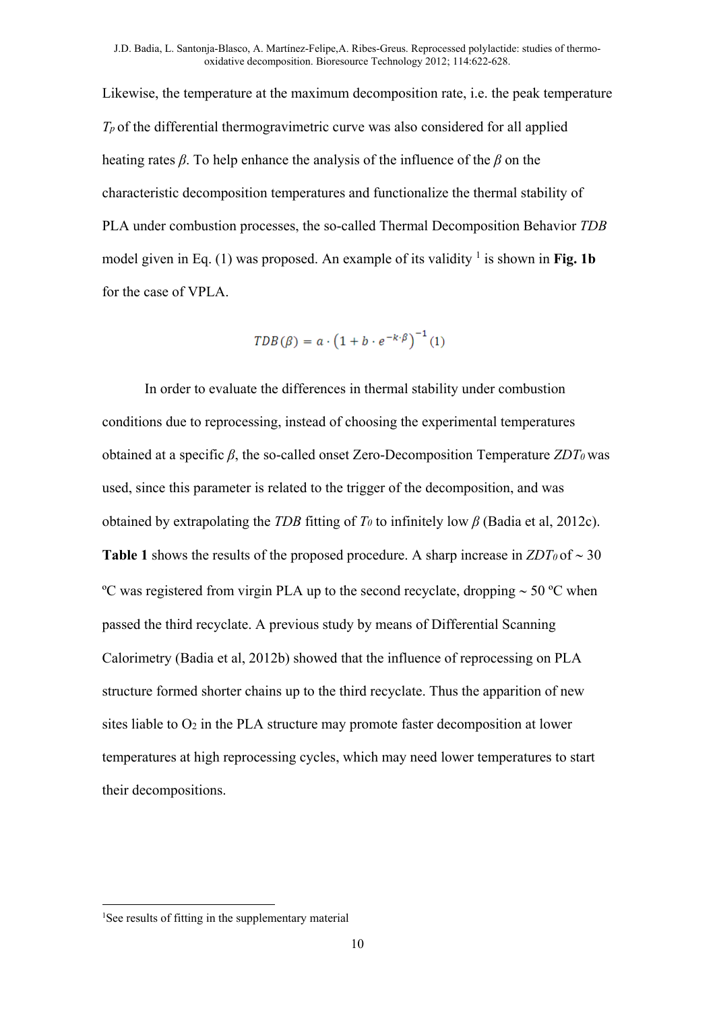Likewise, the temperature at the maximum decomposition rate, i.e. the peak temperature *Tp* of the differential thermogravimetric curve was also considered for all applied heating rates *β*. To help enhance the analysis of the influence of the *β* on the characteristic decomposition temperatures and functionalize the thermal stability of PLA under combustion processes, the so-called Thermal Decomposition Behavior *TDB* model given in Eq. (1) was proposed. An example of its validity <sup>1</sup> is shown in Fig. 1b for the case of VPLA.

$$
TDB(\beta) = a \cdot \left(1 + b \cdot e^{-k \cdot \beta}\right)^{-1}(1)
$$

In order to evaluate the differences in thermal stability under combustion conditions due to reprocessing, instead of choosing the experimental temperatures obtained at a specific *β*, the so-called onset Zero-Decomposition Temperature *ZDT0* was used, since this parameter is related to the trigger of the decomposition, and was obtained by extrapolating the *TDB* fitting of  $T_0$  to infinitely low  $\beta$  (Badia et al, 2012c). **Table 1** shows the results of the proposed procedure. A sharp increase in  $ZDT_0$  of  $\sim$  30 <sup>o</sup>C was registered from virgin PLA up to the second recyclate, dropping  $\sim$  50 <sup>o</sup>C when passed the third recyclate. A previous study by means of Differential Scanning Calorimetry (Badia et al, 2012b) showed that the influence of reprocessing on PLA structure formed shorter chains up to the third recyclate. Thus the apparition of new sites liable to  $O_2$  in the PLA structure may promote faster decomposition at lower temperatures at high reprocessing cycles, which may need lower temperatures to start their decompositions.

<sup>&</sup>lt;sup>1</sup>See results of fitting in the supplementary material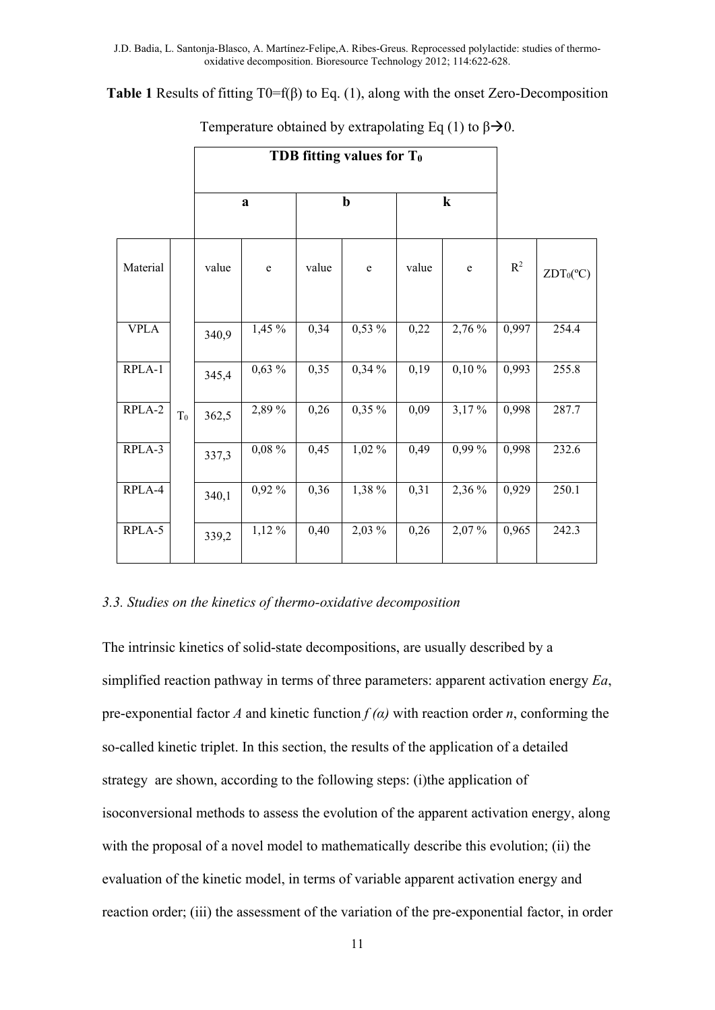**Table 1** Results of fitting T0=f(β) to Eq. (1), along with the onset Zero-Decomposition

|             |       | $\bf{a}$ |             | $\mathbf b$ |             | $\bf k$ |          |       |                    |
|-------------|-------|----------|-------------|-------------|-------------|---------|----------|-------|--------------------|
| Material    |       | value    | $\mathbf e$ | value       | $\mathbf e$ | value   | e        | $R^2$ | $ZDT_0(^{\circ}C)$ |
| <b>VPLA</b> |       | 340,9    | 1,45 %      | 0,34        | $0,53\%$    | 0,22    | 2,76 %   | 0,997 | 254.4              |
| $RPLA-1$    |       | 345,4    | $0,63\%$    | 0,35        | 0,34%       | 0,19    | $0,10\%$ | 0,993 | 255.8              |
| RPLA-2      | $T_0$ | 362,5    | 2,89 %      | 0,26        | $0,35\%$    | 0,09    | 3,17%    | 0,998 | 287.7              |
| RPLA-3      |       | 337,3    | $0,08\%$    | 0,45        | $1,02\%$    | 0,49    | $0,99\%$ | 0,998 | 232.6              |
| RPLA-4      |       | 340,1    | 0,92 %      | 0,36        | 1,38 %      | 0,31    | 2,36 %   | 0,929 | 250.1              |
| RPLA-5      |       | 339,2    | $1,12\%$    | 0,40        | 2,03 %      | 0,26    | 2,07%    | 0,965 | 242.3              |

Temperature obtained by extrapolating Eq (1) to  $\beta \rightarrow 0$ .

## *3.3. Studies on the kinetics of thermo-oxidative decomposition*

The intrinsic kinetics of solid-state decompositions, are usually described by a simplified reaction pathway in terms of three parameters: apparent activation energy *Ea*, pre-exponential factor *A* and kinetic function  $f(\alpha)$  with reaction order *n*, conforming the so-called kinetic triplet. In this section, the results of the application of a detailed strategy are shown, according to the following steps: (i)the application of isoconversional methods to assess the evolution of the apparent activation energy, along with the proposal of a novel model to mathematically describe this evolution; (ii) the evaluation of the kinetic model, in terms of variable apparent activation energy and reaction order; (iii) the assessment of the variation of the pre-exponential factor, in order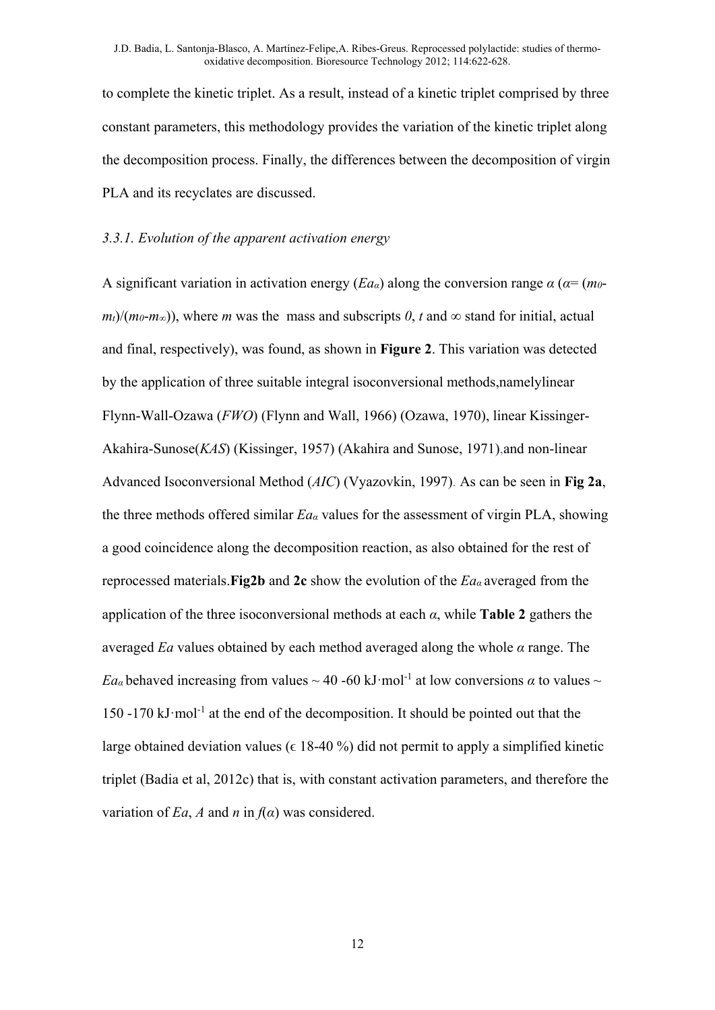to complete the kinetic triplet. As a result, instead of a kinetic triplet comprised by three constant parameters, this methodology provides the variation of the kinetic triplet along the decomposition process. Finally, the differences between the decomposition of virgin PLA and its recyclates are discussed.

### *3.3.1. Evolution of the apparent activation energy*

A significant variation in activation energy (*Eaα*) along the conversion range *α* (*α*= (*m0*  $m_t$ / $(m_0-m_\infty)$ , where *m* was the mass and subscripts *0*, *t* and  $\infty$  stand for initial, actual and final, respectively), was found, as shown in **Figure 2**. This variation was detected by the application of three suitable integral isoconversional methods,namelylinear Flynn-Wall-Ozawa (*FWO*) (Flynn and Wall, 1966) (Ozawa, 1970), linear Kissinger-Akahira-Sunose(*KAS*) (Kissinger, 1957) (Akahira and Sunose, 1971),and non-linear Advanced Isoconversional Method (*AIC*) (Vyazovkin, 1997). As can be seen in **Fig 2a**, the three methods offered similar *Eaα* values for the assessment of virgin PLA, showing a good coincidence along the decomposition reaction, as also obtained for the rest of reprocessed materials.**Fig2b** and **2c** show the evolution of the *Ea<sup>α</sup>* averaged from the application of the three isoconversional methods at each *α*, while **Table 2** gathers the averaged *Ea* values obtained by each method averaged along the whole *α* range. The *Ea<sub>a</sub>* behaved increasing from values  $\sim$  40 -60 kJ·mol<sup>-1</sup> at low conversions  $\alpha$  to values  $\sim$  $150 - 170 \text{ kJ·mol}^{-1}$  at the end of the decomposition. It should be pointed out that the large obtained deviation values ( $\epsilon$  18-40 %) did not permit to apply a simplified kinetic triplet (Badia et al, 2012c) that is, with constant activation parameters, and therefore the variation of *Ea*, *A* and *n* in  $f(\alpha)$  was considered.

12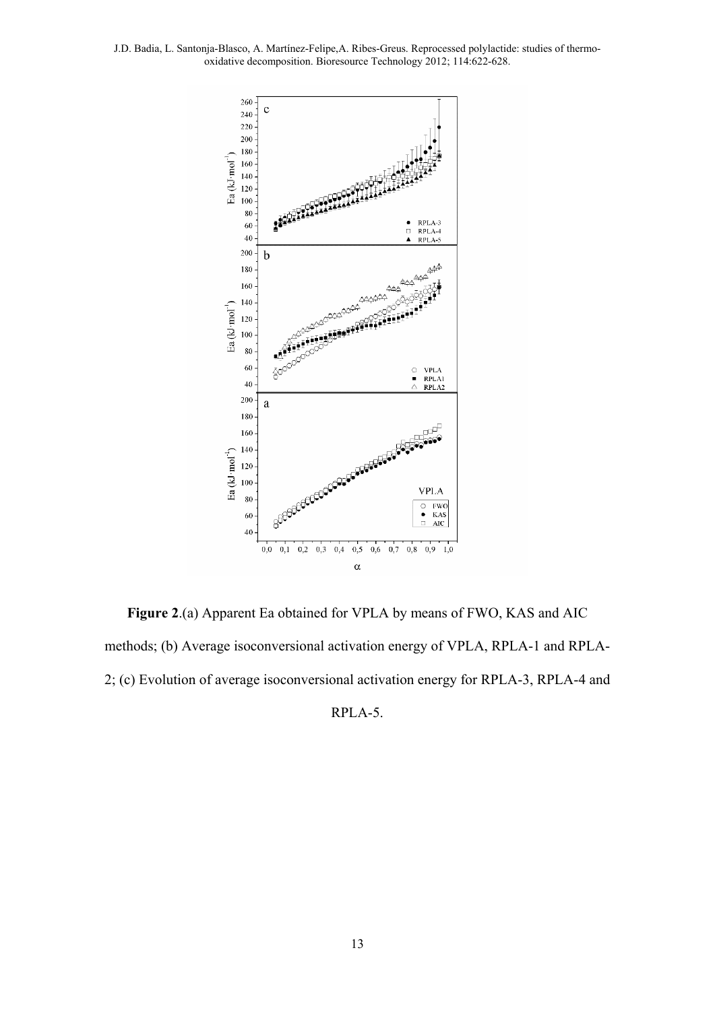

**Figure 2**.(a) Apparent Ea obtained for VPLA by means of FWO, KAS and AIC methods; (b) Average isoconversional activation energy of VPLA, RPLA-1 and RPLA-2; (c) Evolution of average isoconversional activation energy for RPLA-3, RPLA-4 and

RPLA-5.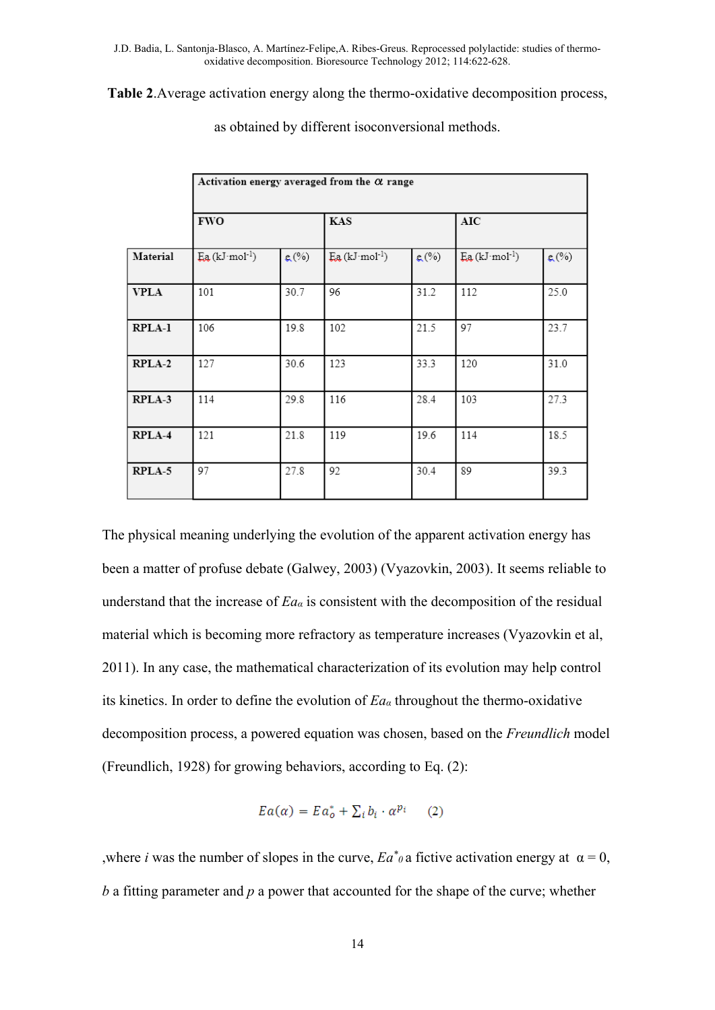**Table 2**.Average activation energy along the thermo-oxidative decomposition process,

|             | Activation energy averaged from the $\alpha$ range |      |                                 |      |                                 |          |  |  |  |  |
|-------------|----------------------------------------------------|------|---------------------------------|------|---------------------------------|----------|--|--|--|--|
|             | <b>FWO</b>                                         |      | <b>KAS</b>                      |      | AIC                             |          |  |  |  |  |
| Material    | $E_{a}$ (kJ·mol <sup>-1</sup> )                    | g(%) | $E_{a}$ (kJ·mol <sup>-1</sup> ) | g(%) | $E_{a}$ (kJ·mol <sup>-1</sup> ) | $g(x_0)$ |  |  |  |  |
| <b>VPLA</b> | 101                                                | 30.7 | 96                              | 31.2 | 112                             | 25.0     |  |  |  |  |
| RPLA-1      | 106                                                | 19.8 | 102                             | 21.5 | 97                              | 23.7     |  |  |  |  |
| RPLA-2      | 127                                                | 30.6 | 123                             | 33.3 | 120                             | 31.0     |  |  |  |  |
| RPLA-3      | 114                                                | 29.8 | 116                             | 28.4 | 103                             | 27.3     |  |  |  |  |
| RPLA-4      | 121                                                | 21.8 | 119                             | 19.6 | 114                             | 18.5     |  |  |  |  |
| RPLA-5      | 97                                                 | 27.8 | 92                              | 30.4 | 89                              | 39.3     |  |  |  |  |

as obtained by different isoconversional methods.

The physical meaning underlying the evolution of the apparent activation energy has been a matter of profuse debate (Galwey, 2003) (Vyazovkin, 2003). It seems reliable to understand that the increase of *Eaα* is consistent with the decomposition of the residual material which is becoming more refractory as temperature increases (Vyazovkin et al, 2011). In any case, the mathematical characterization of its evolution may help control its kinetics. In order to define the evolution of *Eaα* throughout the thermo-oxidative decomposition process, a powered equation was chosen, based on the *Freundlich* model (Freundlich, 1928) for growing behaviors, according to Eq. (2):

$$
Ea(\alpha) = Ea_o^* + \sum_i b_i \cdot \alpha^{p_i} \qquad (2)
$$

,where *i* was the number of slopes in the curve,  $Ea^*$  *o* a fictive activation energy at  $\alpha = 0$ , *b* a fitting parameter and *p* a power that accounted for the shape of the curve; whether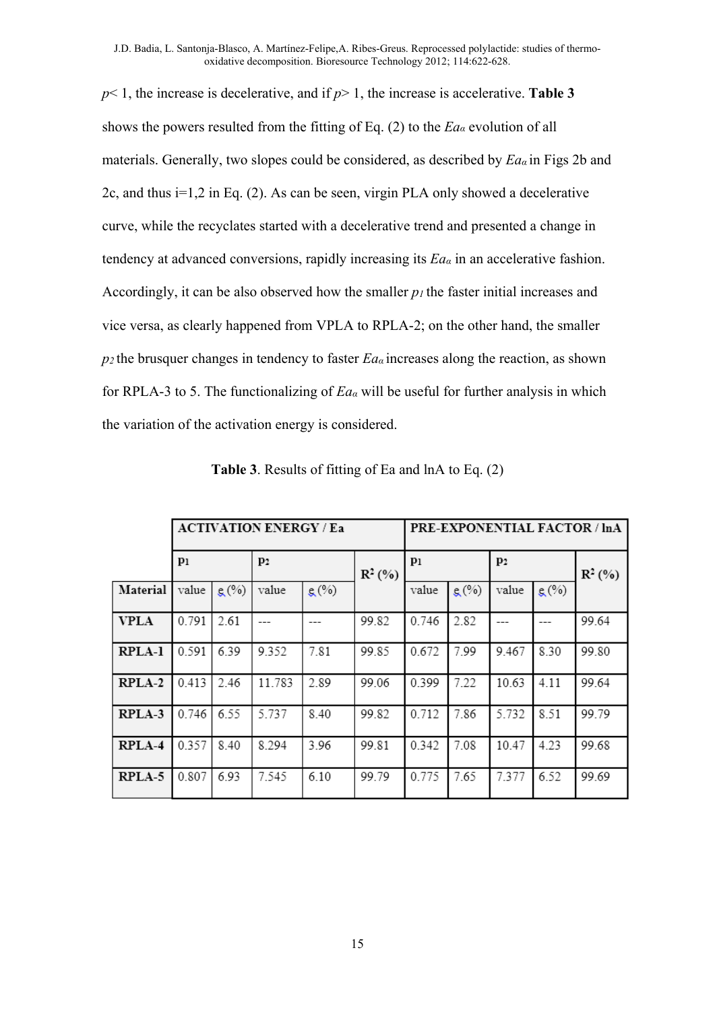*p*< 1, the increase is decelerative, and if *p*> 1, the increase is accelerative. **Table 3**  shows the powers resulted from the fitting of Eq. (2) to the *Eaα* evolution of all materials. Generally, two slopes could be considered, as described by *Ea<sup>α</sup>* in Figs 2b and 2c, and thus i=1,2 in Eq. (2). As can be seen, virgin PLA only showed a decelerative curve, while the recyclates started with a decelerative trend and presented a change in tendency at advanced conversions, rapidly increasing its *Eaα* in an accelerative fashion. Accordingly, it can be also observed how the smaller *p1* the faster initial increases and vice versa, as clearly happened from VPLA to RPLA-2; on the other hand, the smaller  $p_2$  the brusquer changes in tendency to faster  $E_a$  increases along the reaction, as shown for RPLA-3 to 5. The functionalizing of *Eaα* will be useful for further analysis in which the variation of the activation energy is considered.

|               |       |      | <b>ACTIVATION ENERGY / Ea</b> | PRE-EXPONENTIAL FACTOR / InA |           |       |      |                |      |           |
|---------------|-------|------|-------------------------------|------------------------------|-----------|-------|------|----------------|------|-----------|
|               | $p_1$ |      | p <sub>2</sub>                |                              | $R^2$ (%) | $p_1$ |      | P <sub>2</sub> |      | $R^2$ (%) |
| Material      | value | g(%) | value                         | g(%)                         |           | value | g(%) | value          | g(%) |           |
| <b>VPLA</b>   | 0.791 | 2.61 | ---                           |                              | 99.82     | 0.746 | 2.82 |                |      | 99.64     |
| <b>RPLA-1</b> | 0.591 | 6.39 | 9.352                         | 7.81                         | 99.85     | 0.672 | 7.99 | 9.467          | 8.30 | 99.80     |
| RPLA-2        | 0.413 | 2.46 | 11.783                        | 2.89                         | 99.06     | 0.399 | 7.22 | 10.63          | 4.11 | 99.64     |
| RPLA-3        | 0.746 | 6.55 | 5.737                         | 8.40                         | 99.82     | 0.712 | 7.86 | 5.732          | 8.51 | 99.79     |
| RPLA-4        | 0.357 | 8.40 | 8.294                         | 3.96                         | 99.81     | 0.342 | 7.08 | 10.47          | 4.23 | 99.68     |
| RPLA-5        | 0.807 | 6.93 | 7.545                         | 6.10                         | 99.79     | 0.775 | 7.65 | 7.377          | 6.52 | 99.69     |

**Table 3**. Results of fitting of Ea and lnA to Eq. (2)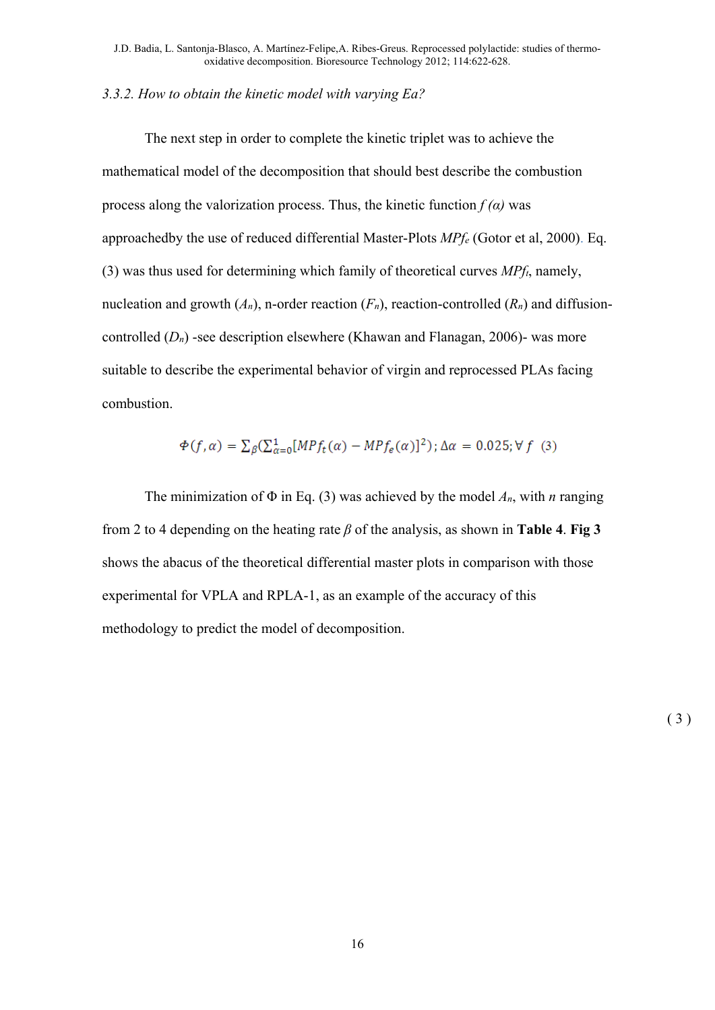## *3.3.2. How to obtain the kinetic model with varying Ea?*

The next step in order to complete the kinetic triplet was to achieve the mathematical model of the decomposition that should best describe the combustion process along the valorization process. Thus, the kinetic function  $f(\alpha)$  was approachedby the use of reduced differential Master-Plots *MPfe* (Gotor et al, 2000). Eq. (3) was thus used for determining which family of theoretical curves *MPft*, namely, nucleation and growth  $(A_n)$ , n-order reaction  $(F_n)$ , reaction-controlled  $(R_n)$  and diffusioncontrolled (*Dn*) -see description elsewhere (Khawan and Flanagan, 2006)- was more suitable to describe the experimental behavior of virgin and reprocessed PLAs facing combustion.

$$
\Phi(f,\alpha) = \sum_{\beta} \left( \sum_{\alpha=0}^{1} [MPf_t(\alpha) - MPf_{\epsilon}(\alpha)]^2 \right); \Delta \alpha = 0.025; \forall f \text{ (3)}
$$

The minimization of  $\Phi$  in Eq. (3) was achieved by the model  $A_n$ , with *n* ranging from 2 to 4 depending on the heating rate *β* of the analysis, as shown in **Table 4**. **Fig 3**  shows the abacus of the theoretical differential master plots in comparison with those experimental for VPLA and RPLA-1, as an example of the accuracy of this methodology to predict the model of decomposition.

 $(3)$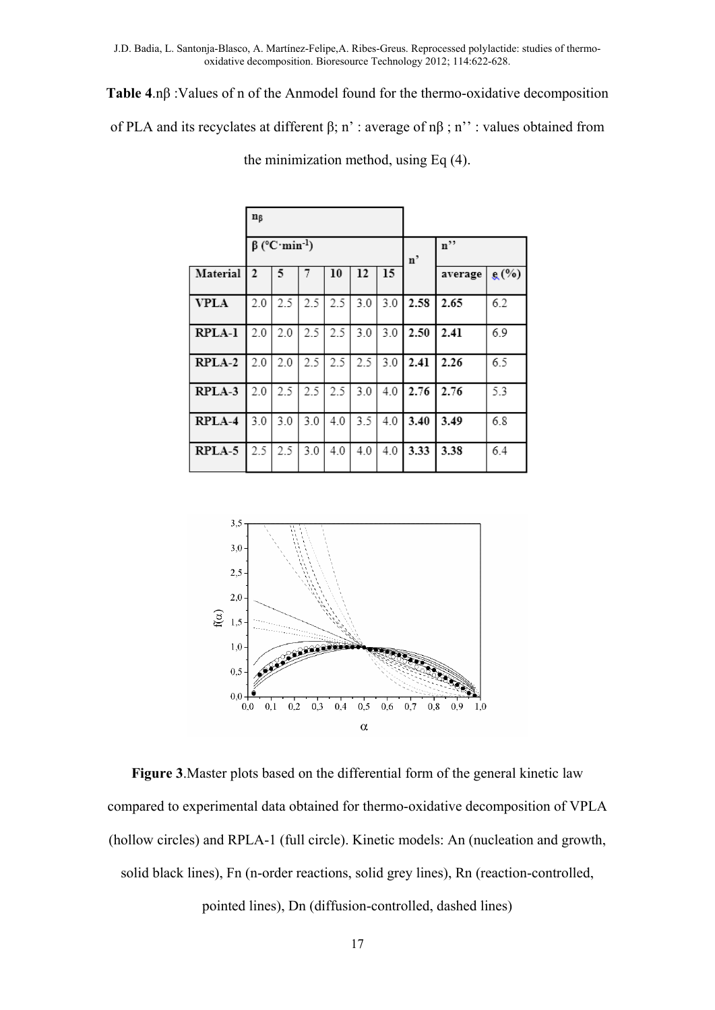**Table 4**.nβ :Values of n of the Anmodel found for the thermo-oxidative decomposition

of PLA and its recyclates at different β; n' : average of nβ ; n'' : values obtained from

|               | n <sub>β</sub>                  |     |     |     |     |     |      |                   |      |
|---------------|---------------------------------|-----|-----|-----|-----|-----|------|-------------------|------|
|               | $\beta$ (°C·min <sup>-1</sup> ) |     |     |     |     |     | n'   | $n$ <sup>22</sup> |      |
| Material      | $\overline{2}$                  | 5   | 7   | 10  | 12  | 15  |      | average           | g(%) |
| <b>VPLA</b>   | 2.0                             | 2.5 | 2.5 | 2.5 | 3.0 | 3.0 | 2.58 | 2.65              | 6.2  |
| <b>RPLA-1</b> | 2.0                             | 2.0 | 2.5 | 2.5 | 3.0 | 3.0 | 2.50 | 2.41              | 6.9  |
| RPLA-2        | 2.0                             | 2.0 | 2.5 | 2.5 | 2.5 | 3.0 | 2.41 | 2.26              | 6.5  |
| RPLA-3        | 2.0                             | 2.5 | 2.5 | 2.5 | 3.0 | 4.0 | 2.76 | 2.76              | 5.3  |
| RPLA-4        | 3.0                             | 3.0 | 3.0 | 4.0 | 3.5 | 4.0 | 3.40 | 3.49              | 6.8  |
| RPLA-5        | 2.5                             | 2.5 | 3.0 | 4.0 | 4.0 | 4.0 | 3.33 | 3.38              | 6.4  |

the minimization method, using Eq (4).



**Figure 3**.Master plots based on the differential form of the general kinetic law compared to experimental data obtained for thermo-oxidative decomposition of VPLA (hollow circles) and RPLA-1 (full circle). Kinetic models: An (nucleation and growth, solid black lines), Fn (n-order reactions, solid grey lines), Rn (reaction-controlled,

pointed lines), Dn (diffusion-controlled, dashed lines)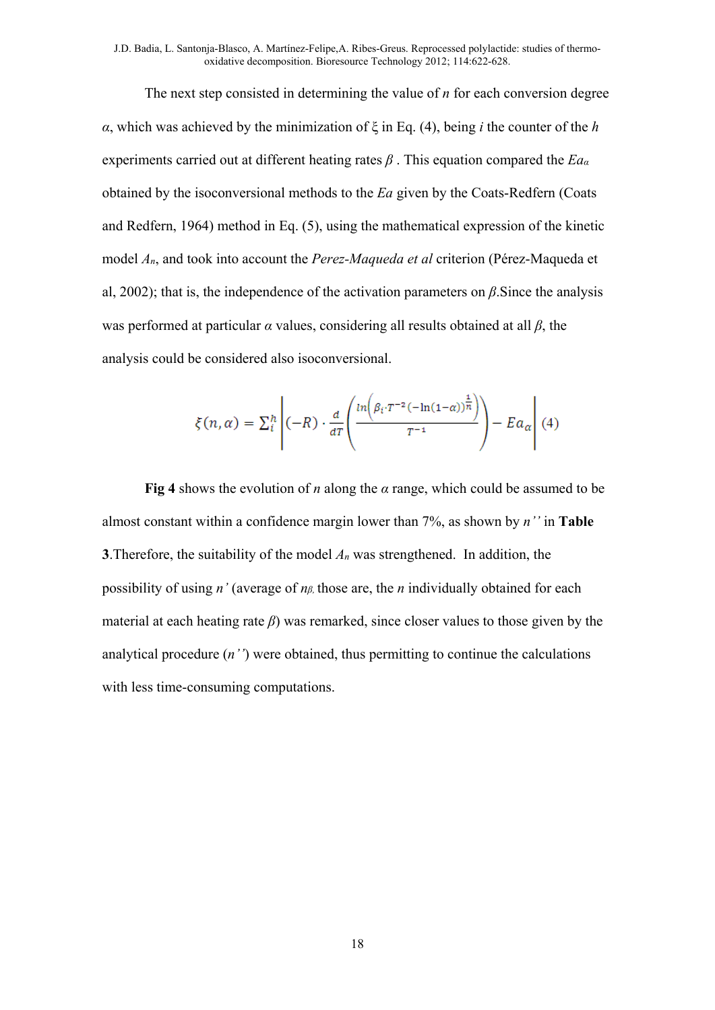The next step consisted in determining the value of *n* for each conversion degree *α*, which was achieved by the minimization of ξ in Eq. (4), being *i* the counter of the *h* experiments carried out at different heating rates *β* . This equation compared the *Ea<sup>α</sup>* obtained by the isoconversional methods to the *Ea* given by the Coats-Redfern (Coats and Redfern, 1964) method in Eq. (5), using the mathematical expression of the kinetic model *An*, and took into account the *Perez-Maqueda et al* criterion (Pérez-Maqueda et al, 2002); that is, the independence of the activation parameters on *β*.Since the analysis was performed at particular *α* values, considering all results obtained at all *β*, the analysis could be considered also isoconversional.

$$
\xi(n,\alpha) = \sum_{i}^{h} \left| (-R) \cdot \frac{d}{dT} \left( \frac{\ln \left( \beta_i \cdot T^{-2} \left( -\ln(1-\alpha) \right)^{\frac{1}{n}} \right)}{T^{-1}} \right) - Ea_{\alpha} \right| (4)
$$

**Fig 4** shows the evolution of *n* along the *α* range, which could be assumed to be almost constant within a confidence margin lower than 7%, as shown by *n''* in **Table 3**.Therefore, the suitability of the model *An* was strengthened. In addition, the possibility of using *n'* (average of *nβ,* those are, the *n* individually obtained for each material at each heating rate *β*) was remarked, since closer values to those given by the analytical procedure (*n''*) were obtained, thus permitting to continue the calculations with less time-consuming computations.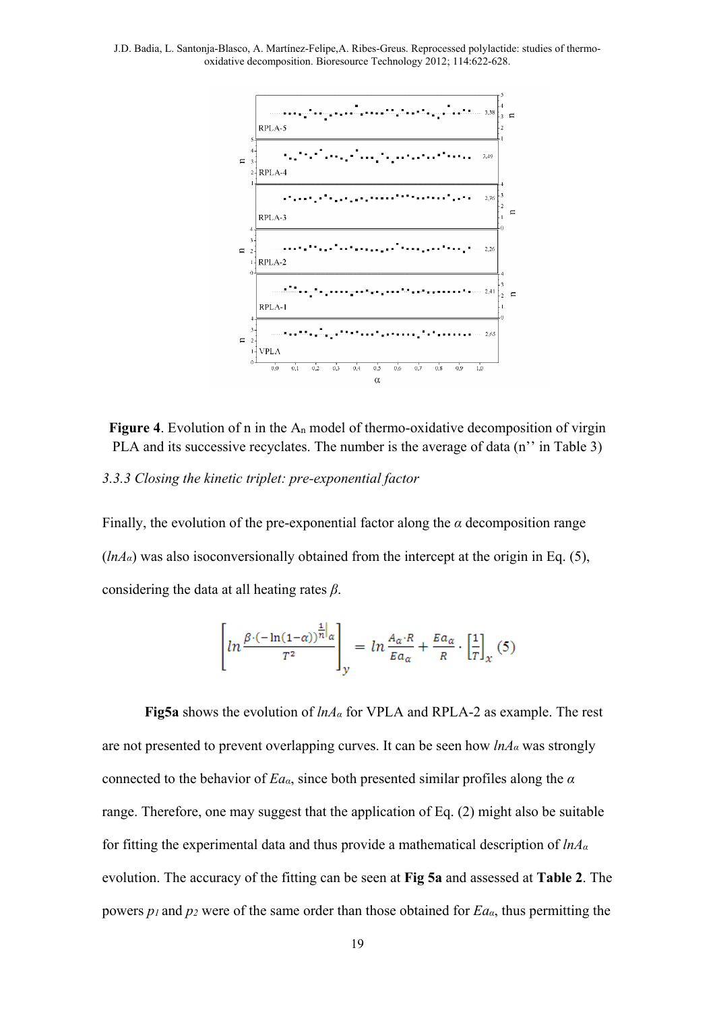

**Figure 4**. Evolution of n in the An model of thermo-oxidative decomposition of virgin PLA and its successive recyclates. The number is the average of data (n'' in Table 3)

*3.3.3 Closing the kinetic triplet: pre-exponential factor* 

Finally, the evolution of the pre-exponential factor along the  $\alpha$  decomposition range  $(hA_{\alpha})$  was also isoconversionally obtained from the intercept at the origin in Eq. (5), considering the data at all heating rates *β*.

$$
\left[ln \frac{\beta \cdot (-\ln(1-\alpha))^{\frac{1}{n}}|_{\alpha}}{T^2}\right]_y = ln \frac{A_{\alpha} \cdot R}{E a_{\alpha}} + \frac{E a_{\alpha}}{R} \cdot \left[\frac{1}{T}\right]_x(5)
$$

**Fig5a** shows the evolution of *lnAα* for VPLA and RPLA-2 as example. The rest are not presented to prevent overlapping curves. It can be seen how *lnAα* was strongly connected to the behavior of *Eaα*, since both presented similar profiles along the *α* range. Therefore, one may suggest that the application of Eq. (2) might also be suitable for fitting the experimental data and thus provide a mathematical description of *lnA<sup>α</sup>* evolution. The accuracy of the fitting can be seen at **Fig 5a** and assessed at **Table 2**. The powers *p1* and *p2* were of the same order than those obtained for *Eaα*, thus permitting the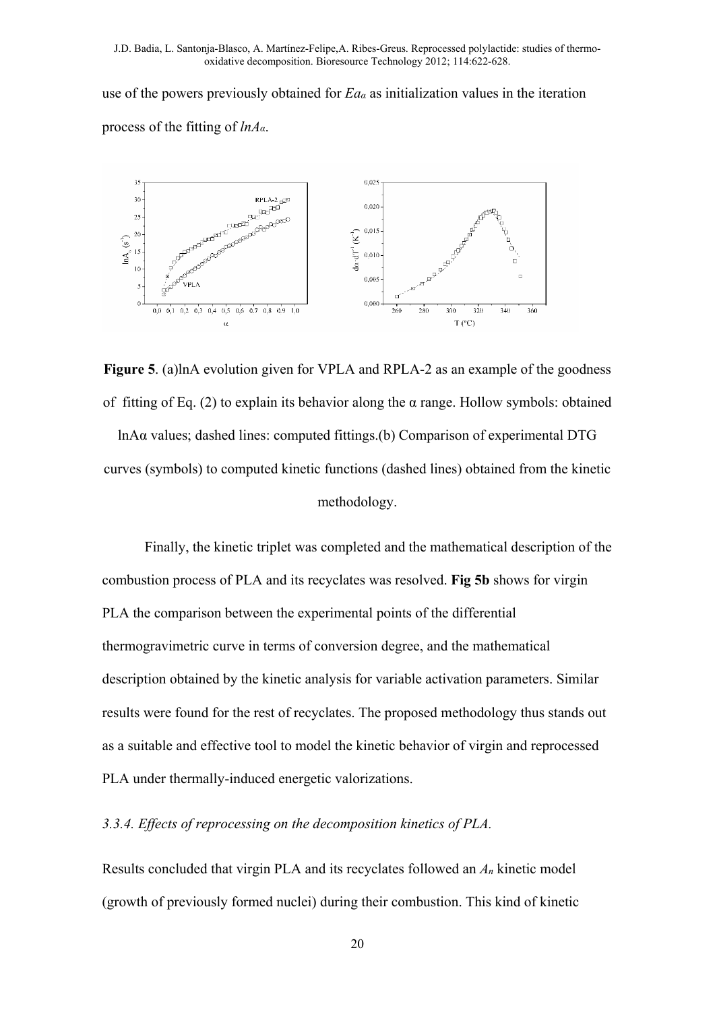use of the powers previously obtained for *Eaα* as initialization values in the iteration process of the fitting of *lnAα*.



**Figure 5**. (a)lnA evolution given for VPLA and RPLA-2 as an example of the goodness of fitting of Eq. (2) to explain its behavior along the  $\alpha$  range. Hollow symbols: obtained

lnAα values; dashed lines: computed fittings.(b) Comparison of experimental DTG curves (symbols) to computed kinetic functions (dashed lines) obtained from the kinetic methodology.

Finally, the kinetic triplet was completed and the mathematical description of the combustion process of PLA and its recyclates was resolved. **Fig 5b** shows for virgin PLA the comparison between the experimental points of the differential thermogravimetric curve in terms of conversion degree, and the mathematical description obtained by the kinetic analysis for variable activation parameters. Similar results were found for the rest of recyclates. The proposed methodology thus stands out as a suitable and effective tool to model the kinetic behavior of virgin and reprocessed PLA under thermally-induced energetic valorizations.

# *3.3.4. Effects of reprocessing on the decomposition kinetics of PLA.*

Results concluded that virgin PLA and its recyclates followed an *An* kinetic model (growth of previously formed nuclei) during their combustion. This kind of kinetic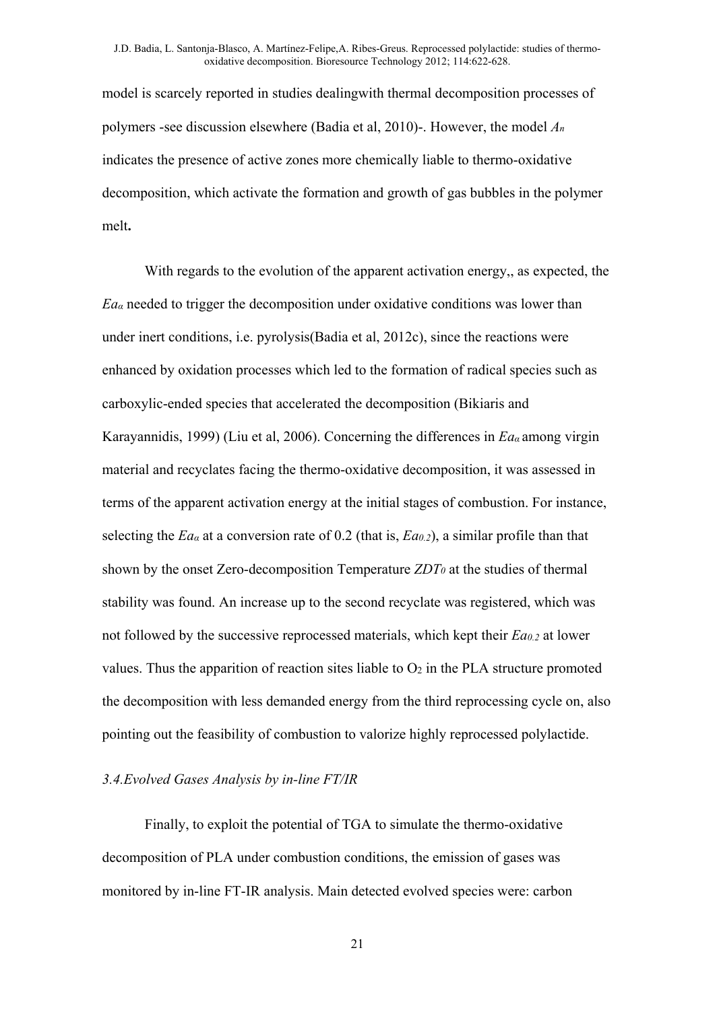model is scarcely reported in studies dealingwith thermal decomposition processes of polymers -see discussion elsewhere (Badia et al, 2010)-. However, the model *An* indicates the presence of active zones more chemically liable to thermo-oxidative decomposition, which activate the formation and growth of gas bubbles in the polymer melt**.**

With regards to the evolution of the apparent activation energy,, as expected, the  $Ea_{\alpha}$  needed to trigger the decomposition under oxidative conditions was lower than under inert conditions, i.e. pyrolysis(Badia et al, 2012c), since the reactions were enhanced by oxidation processes which led to the formation of radical species such as carboxylic-ended species that accelerated the decomposition (Bikiaris and Karayannidis, 1999) (Liu et al, 2006). Concerning the differences in *Ea<sup>α</sup>* among virgin material and recyclates facing the thermo-oxidative decomposition, it was assessed in terms of the apparent activation energy at the initial stages of combustion. For instance, selecting the  $Ea_{\alpha}$  at a conversion rate of 0.2 (that is,  $Ea_{0.2}$ ), a similar profile than that shown by the onset Zero-decomposition Temperature *ZDT0* at the studies of thermal stability was found. An increase up to the second recyclate was registered, which was not followed by the successive reprocessed materials, which kept their *Ea0.2* at lower values. Thus the apparition of reaction sites liable to  $O<sub>2</sub>$  in the PLA structure promoted the decomposition with less demanded energy from the third reprocessing cycle on, also pointing out the feasibility of combustion to valorize highly reprocessed polylactide.

#### *3.4.Evolved Gases Analysis by in-line FT/IR*

Finally, to exploit the potential of TGA to simulate the thermo-oxidative decomposition of PLA under combustion conditions, the emission of gases was monitored by in-line FT-IR analysis. Main detected evolved species were: carbon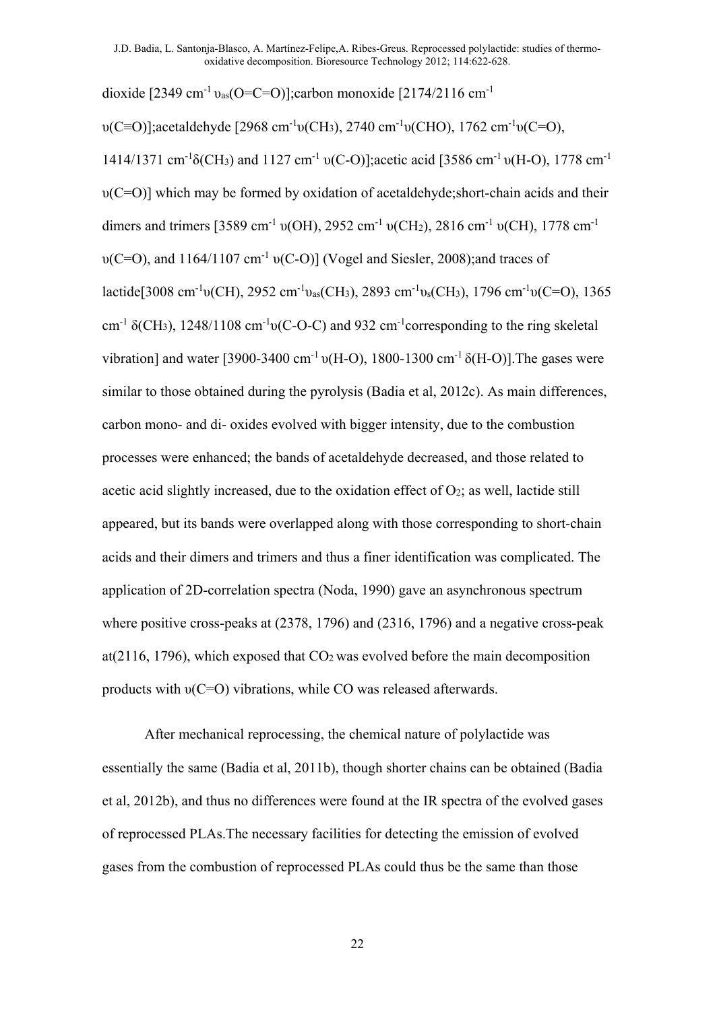dioxide  $[2349 \text{ cm}^{-1} \text{v}_{as}(\text{O=C=O)}]$ ;carbon monoxide  $[2174/2116 \text{ cm}^{-1}]$ 

υ(C≡O)];acetaldehyde [2968 cm-1υ(CH3), 2740 cm-1υ(CHO), 1762 cm-1υ(C=O), 1414/1371 cm<sup>-1</sup> $\delta$ (CH<sub>3</sub>) and 1127 cm<sup>-1</sup> v(C-O)];acetic acid [3586 cm<sup>-1</sup> v(H-O), 1778 cm<sup>-1</sup> υ(C=O)] which may be formed by oxidation of acetaldehyde;short-chain acids and their dimers and trimers [3589 cm<sup>-1</sup> υ(OH), 2952 cm<sup>-1</sup> υ(CH<sub>2</sub>), 2816 cm<sup>-1</sup> υ(CH), 1778 cm<sup>-1</sup> υ(C=O), and 1164/1107 cm-1 υ(C-O)] (Vogel and Siesler, 2008);and traces of lactide[3008 cm<sup>-1</sup>υ(CH), 2952 cm<sup>-1</sup>υ<sub>as</sub>(CH<sub>3</sub>), 2893 cm<sup>-1</sup>υ<sub>s</sub>(CH<sub>3</sub>), 1796 cm<sup>-1</sup>υ(C=O), 1365 cm<sup>-1</sup>  $\delta$ (CH<sub>3</sub>), 1248/1108 cm<sup>-1</sup>v(C-O-C) and 932 cm<sup>-1</sup>corresponding to the ring skeletal vibration] and water [3900-3400 cm<sup>-1</sup> υ(H-O), 1800-1300 cm<sup>-1</sup>  $\delta$ (H-O)]. The gases were similar to those obtained during the pyrolysis (Badia et al, 2012c). As main differences, carbon mono- and di- oxides evolved with bigger intensity, due to the combustion processes were enhanced; the bands of acetaldehyde decreased, and those related to acetic acid slightly increased, due to the oxidation effect of  $O_2$ ; as well, lactide still appeared, but its bands were overlapped along with those corresponding to short-chain acids and their dimers and trimers and thus a finer identification was complicated. The application of 2D-correlation spectra (Noda, 1990) gave an asynchronous spectrum where positive cross-peaks at (2378, 1796) and (2316, 1796) and a negative cross-peak at( $2116$ , 1796), which exposed that  $CO<sub>2</sub>$  was evolved before the main decomposition products with υ(C=O) vibrations, while CO was released afterwards.

After mechanical reprocessing, the chemical nature of polylactide was essentially the same (Badia et al, 2011b), though shorter chains can be obtained (Badia et al, 2012b), and thus no differences were found at the IR spectra of the evolved gases of reprocessed PLAs.The necessary facilities for detecting the emission of evolved gases from the combustion of reprocessed PLAs could thus be the same than those

22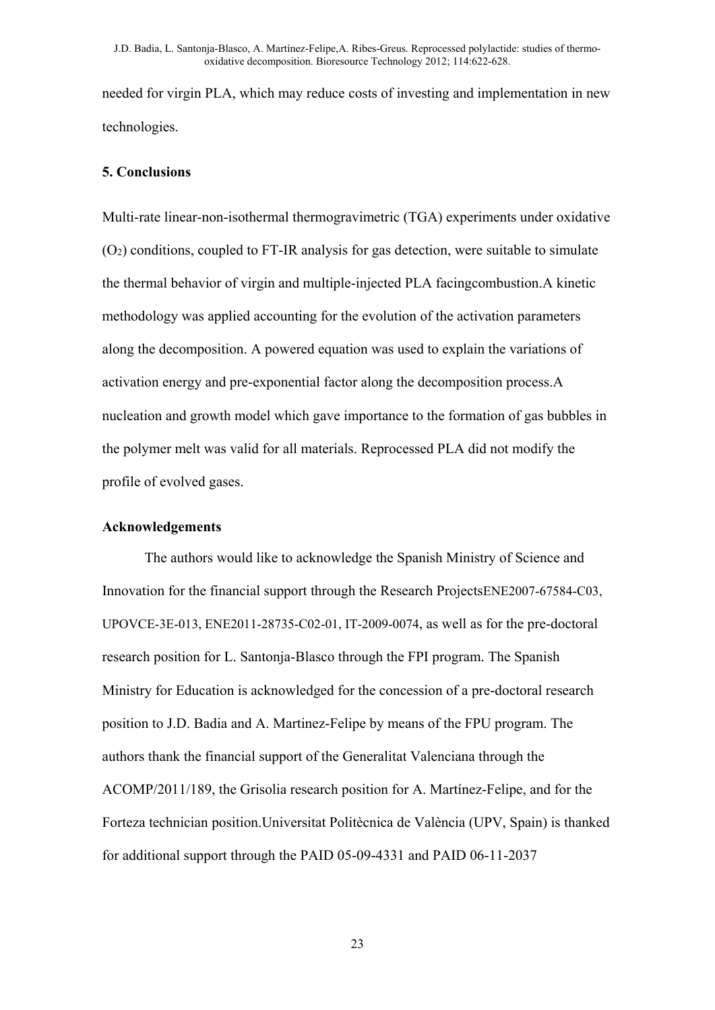needed for virgin PLA, which may reduce costs of investing and implementation in new technologies.

## **5. Conclusions**

Multi-rate linear-non-isothermal thermogravimetric (TGA) experiments under oxidative  $(O<sub>2</sub>)$  conditions, coupled to FT-IR analysis for gas detection, were suitable to simulate the thermal behavior of virgin and multiple-injected PLA facingcombustion.A kinetic methodology was applied accounting for the evolution of the activation parameters along the decomposition. A powered equation was used to explain the variations of activation energy and pre-exponential factor along the decomposition process.A nucleation and growth model which gave importance to the formation of gas bubbles in the polymer melt was valid for all materials. Reprocessed PLA did not modify the profile of evolved gases.

### **Acknowledgements**

The authors would like to acknowledge the Spanish Ministry of Science and Innovation for the financial support through the Research ProjectsENE2007-67584-C03, UPOVCE-3E-013, ENE2011-28735-C02-01, IT-2009-0074, as well as for the pre-doctoral research position for L. Santonja-Blasco through the FPI program. The Spanish Ministry for Education is acknowledged for the concession of a pre-doctoral research position to J.D. Badia and A. Martinez-Felipe by means of the FPU program. The authors thank the financial support of the Generalitat Valenciana through the ACOMP/2011/189, the Grisolia research position for A. Martínez-Felipe, and for the Forteza technician position.Universitat Politècnica de València (UPV, Spain) is thanked for additional support through the PAID 05-09-4331 and PAID 06-11-2037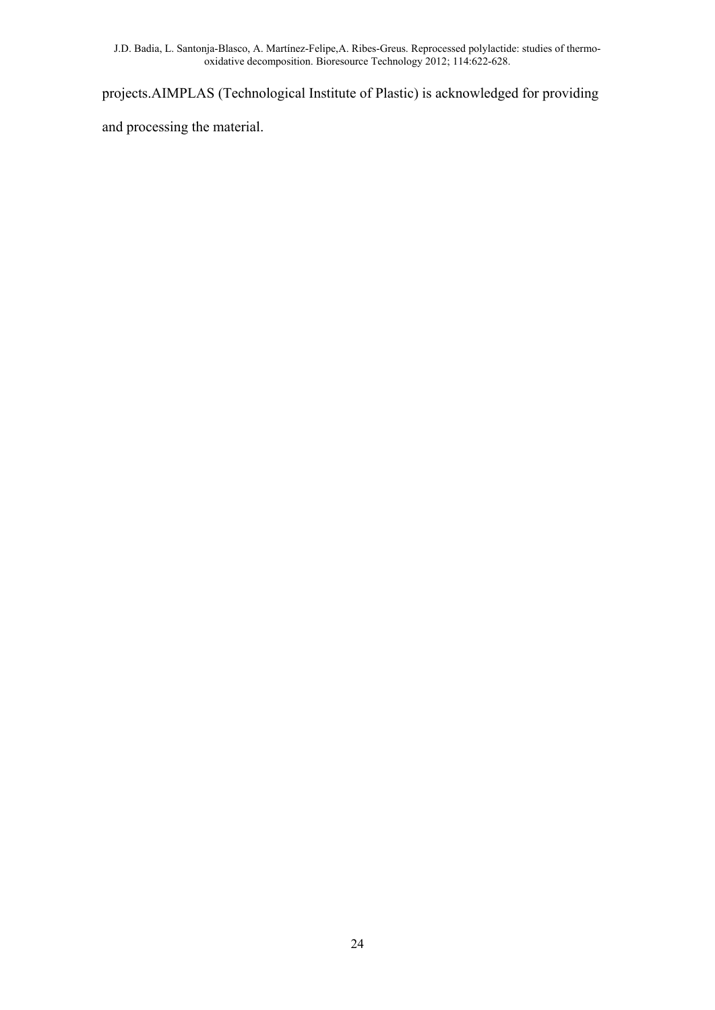projects.AIMPLAS (Technological Institute of Plastic) is acknowledged for providing

and processing the material.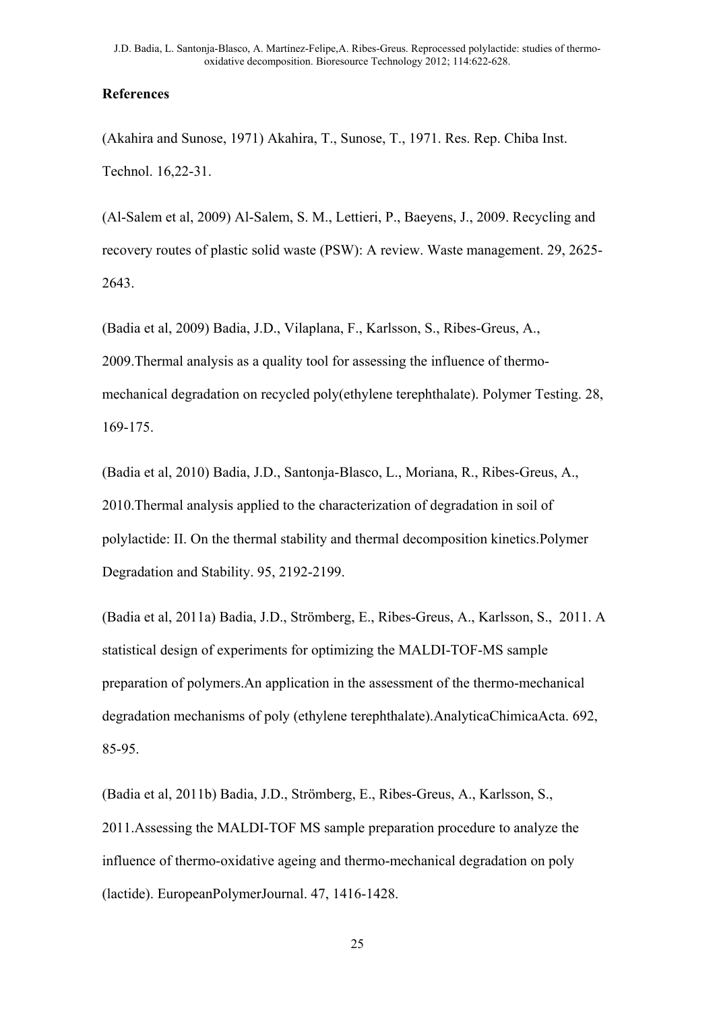## **References**

(Akahira and Sunose, 1971) Akahira, T., Sunose, T., 1971. Res. Rep. Chiba Inst. Technol. 16,22-31.

(Al-Salem et al, 2009) Al-Salem, S. M., Lettieri, P., Baeyens, J., 2009. Recycling and recovery routes of plastic solid waste (PSW): A review. Waste management. 29, 2625- 2643.

(Badia et al, 2009) Badia, J.D., Vilaplana, F., Karlsson, S., Ribes-Greus, A., 2009.Thermal analysis as a quality tool for assessing the influence of thermomechanical degradation on recycled poly(ethylene terephthalate). Polymer Testing. 28, 169-175.

(Badia et al, 2010) Badia, J.D., Santonja-Blasco, L., Moriana, R., Ribes-Greus, A., 2010.Thermal analysis applied to the characterization of degradation in soil of polylactide: II. On the thermal stability and thermal decomposition kinetics.Polymer Degradation and Stability. 95, 2192-2199.

(Badia et al, 2011a) Badia, J.D., Strömberg, E., Ribes-Greus, A., Karlsson, S., 2011. A statistical design of experiments for optimizing the MALDI-TOF-MS sample preparation of polymers.An application in the assessment of the thermo-mechanical degradation mechanisms of poly (ethylene terephthalate).AnalyticaChimicaActa. 692, 85-95.

(Badia et al, 2011b) Badia, J.D., Strömberg, E., Ribes-Greus, A., Karlsson, S., 2011.Assessing the MALDI-TOF MS sample preparation procedure to analyze the influence of thermo-oxidative ageing and thermo-mechanical degradation on poly (lactide). EuropeanPolymerJournal. 47, 1416-1428.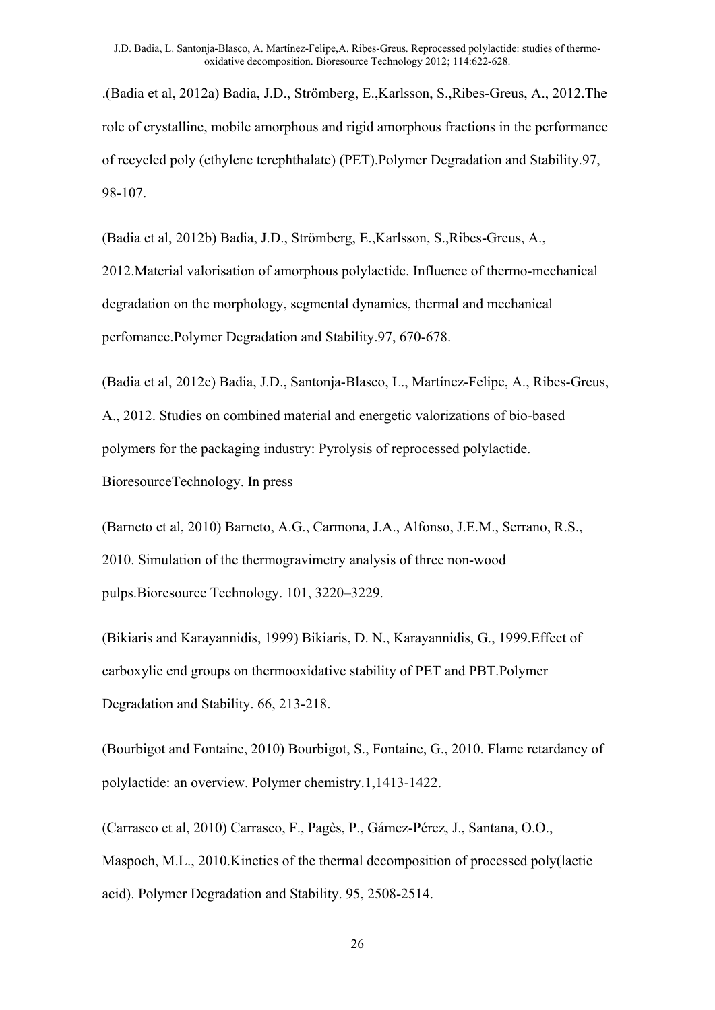.(Badia et al, 2012a) Badia, J.D., Strömberg, E.,Karlsson, S.,Ribes-Greus, A., 2012.The role of crystalline, mobile amorphous and rigid amorphous fractions in the performance of recycled poly (ethylene terephthalate) (PET).Polymer Degradation and Stability.97, 98-107.

(Badia et al, 2012b) Badia, J.D., Strömberg, E.,Karlsson, S.,Ribes-Greus, A., 2012.Material valorisation of amorphous polylactide. Influence of thermo-mechanical degradation on the morphology, segmental dynamics, thermal and mechanical perfomance.Polymer Degradation and Stability.97, 670-678.

(Badia et al, 2012c) Badia, J.D., Santonja-Blasco, L., Martínez-Felipe, A., Ribes-Greus, A., 2012. Studies on combined material and energetic valorizations of bio-based polymers for the packaging industry: Pyrolysis of reprocessed polylactide. BioresourceTechnology. In press

(Barneto et al, 2010) Barneto, A.G., Carmona, J.A., Alfonso, J.E.M., Serrano, R.S., 2010. Simulation of the thermogravimetry analysis of three non-wood pulps.Bioresource Technology. 101, 3220–3229.

(Bikiaris and Karayannidis, 1999) Bikiaris, D. N., Karayannidis, G., 1999.Effect of carboxylic end groups on thermooxidative stability of PET and PBT.Polymer Degradation and Stability. 66, 213-218.

(Bourbigot and Fontaine, 2010) Bourbigot, S., Fontaine, G., 2010. Flame retardancy of polylactide: an overview. Polymer chemistry.1,1413-1422.

(Carrasco et al, 2010) Carrasco, F., Pagès, P., Gámez-Pérez, J., Santana, O.O., Maspoch, M.L., 2010.Kinetics of the thermal decomposition of processed poly(lactic acid). Polymer Degradation and Stability. 95, 2508-2514.

26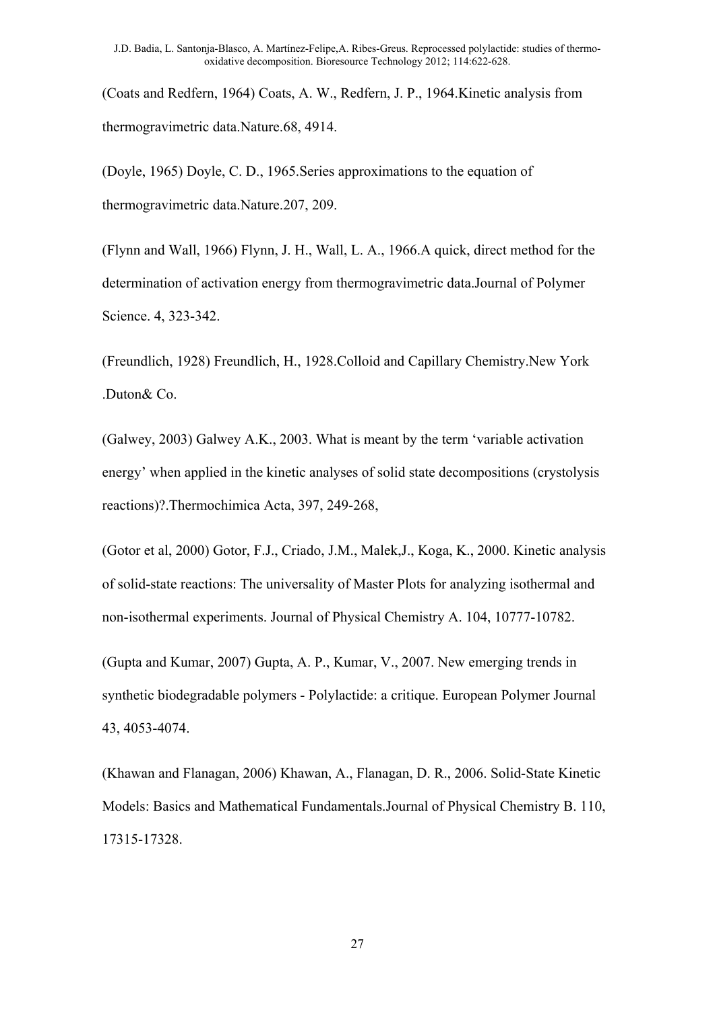(Coats and Redfern, 1964) Coats, A. W., Redfern, J. P., 1964.Kinetic analysis from thermogravimetric data.Nature.68, 4914.

(Doyle, 1965) Doyle, C. D., 1965.Series approximations to the equation of thermogravimetric data.Nature.207, 209.

(Flynn and Wall, 1966) Flynn, J. H., Wall, L. A., 1966.A quick, direct method for the determination of activation energy from thermogravimetric data.Journal of Polymer Science. 4, 323-342.

(Freundlich, 1928) Freundlich, H., 1928.Colloid and Capillary Chemistry.New York .Duton& Co.

(Galwey, 2003) Galwey A.K., 2003. What is meant by the term 'variable activation energy' when applied in the kinetic analyses of solid state decompositions (crystolysis reactions)?.Thermochimica Acta, 397, 249-268,

(Gotor et al, 2000) Gotor, F.J., Criado, J.M., Malek,J., Koga, K., 2000. Kinetic analysis of solid-state reactions: The universality of Master Plots for analyzing isothermal and non-isothermal experiments. Journal of Physical Chemistry A. 104, 10777-10782.

(Gupta and Kumar, 2007) Gupta, A. P., Kumar, V., 2007. New emerging trends in synthetic biodegradable polymers - Polylactide: a critique. European Polymer Journal 43, 4053-4074.

(Khawan and Flanagan, 2006) Khawan, A., Flanagan, D. R., 2006. Solid-State Kinetic Models: Basics and Mathematical Fundamentals.Journal of Physical Chemistry B. 110, 17315-17328.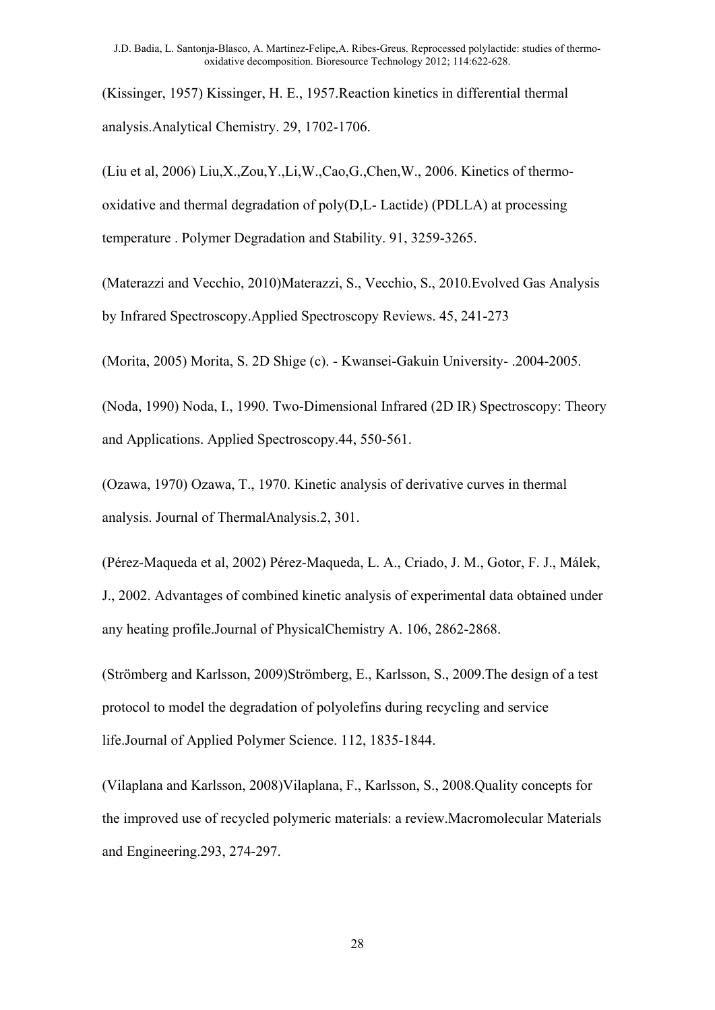(Kissinger, 1957) Kissinger, H. E., 1957.Reaction kinetics in differential thermal analysis.Analytical Chemistry. 29, 1702-1706.

(Liu et al, 2006) Liu,X.,Zou,Y.,Li,W.,Cao,G.,Chen,W., 2006. Kinetics of thermooxidative and thermal degradation of poly(D,L- Lactide) (PDLLA) at processing temperature . Polymer Degradation and Stability. 91, 3259-3265.

(Materazzi and Vecchio, 2010)Materazzi, S., Vecchio, S., 2010.Evolved Gas Analysis by Infrared Spectroscopy.Applied Spectroscopy Reviews. 45, 241-273

(Morita, 2005) Morita, S. 2D Shige (c). - Kwansei-Gakuin University- .2004-2005.

(Noda, 1990) Noda, I., 1990. Two-Dimensional Infrared (2D IR) Spectroscopy: Theory and Applications. Applied Spectroscopy.44, 550-561.

(Ozawa, 1970) Ozawa, T., 1970. Kinetic analysis of derivative curves in thermal analysis. Journal of ThermalAnalysis.2, 301.

(Pérez-Maqueda et al, 2002) Pérez-Maqueda, L. A., Criado, J. M., Gotor, F. J., Málek, J., 2002. Advantages of combined kinetic analysis of experimental data obtained under any heating profile.Journal of PhysicalChemistry A. 106, 2862-2868.

(Strömberg and Karlsson, 2009)Strömberg, E., Karlsson, S., 2009.The design of a test protocol to model the degradation of polyolefins during recycling and service life.Journal of Applied Polymer Science. 112, 1835-1844.

(Vilaplana and Karlsson, 2008)Vilaplana, F., Karlsson, S., 2008.Quality concepts for the improved use of recycled polymeric materials: a review.Macromolecular Materials and Engineering.293, 274-297.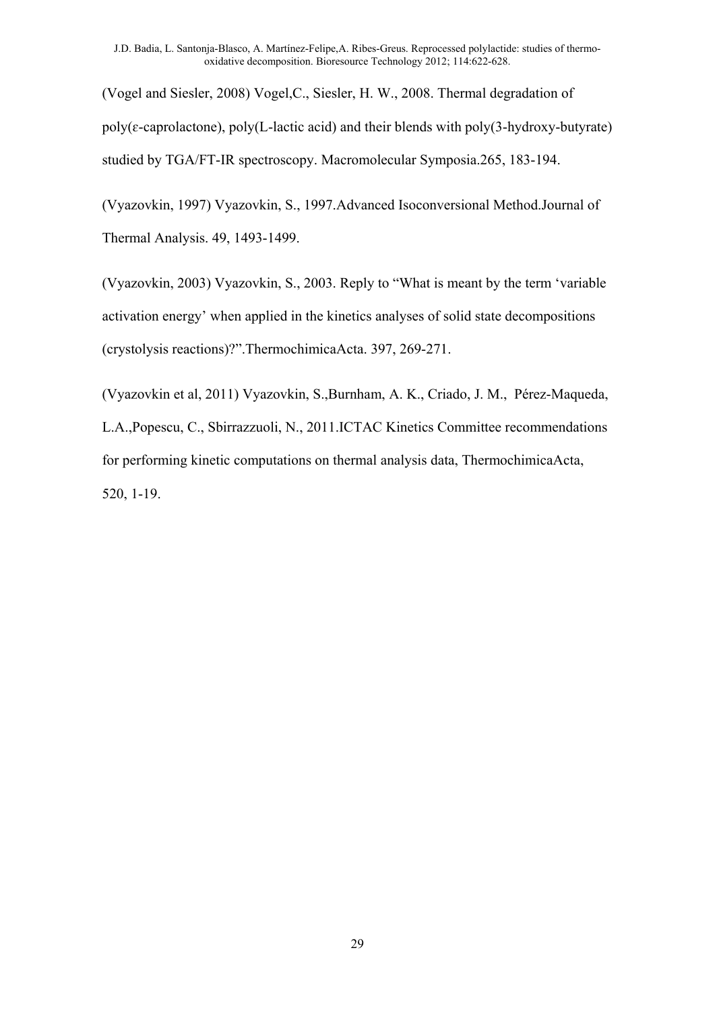(Vogel and Siesler, 2008) Vogel,C., Siesler, H. W., 2008. Thermal degradation of  $poly(\varepsilon$ -caprolactone),  $poly(L$ -lactic acid) and their blends with  $poly(3-hydroxy-butyrate)$ studied by TGA/FT-IR spectroscopy. Macromolecular Symposia.265, 183-194.

(Vyazovkin, 1997) Vyazovkin, S., 1997.Advanced Isoconversional Method.Journal of Thermal Analysis. 49, 1493-1499.

(Vyazovkin, 2003) Vyazovkin, S., 2003. Reply to "What is meant by the term 'variable activation energy' when applied in the kinetics analyses of solid state decompositions (crystolysis reactions)?".ThermochimicaActa. 397, 269-271.

(Vyazovkin et al, 2011) Vyazovkin, S.,Burnham, A. K., Criado, J. M., Pérez-Maqueda, L.A.,Popescu, C., Sbirrazzuoli, N., 2011.ICTAC Kinetics Committee recommendations for performing kinetic computations on thermal analysis data, ThermochimicaActa, 520, 1-19.